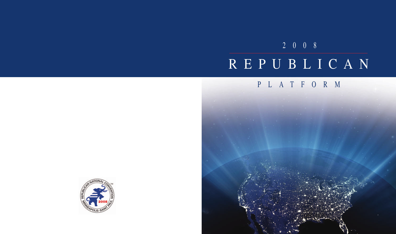# $2\overline{0}0\overline{0}8$ REPUBLICAN

# PLATFORM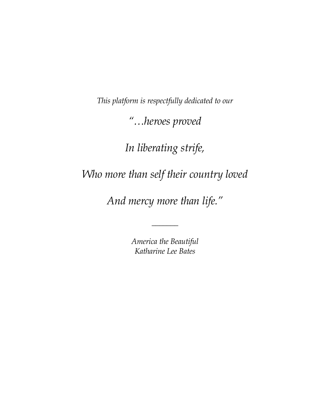*This platform is respectfully dedicated to our*

*ìÖheroes proved*

*In liberating strife,*

*Who more than self their country loved*

*And mercy more than life.î* 

*\_\_\_\_\_\_\_*

*America the Beautiful Katharine Lee Bates*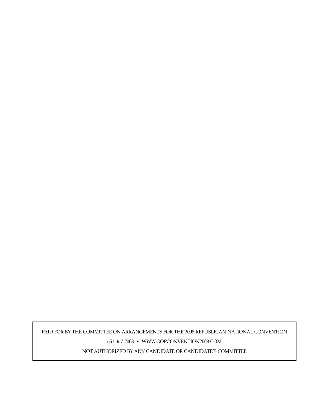# PAID FOR BY THE COMMITTEE ON ARRANGEMENTS FOR THE 2008 REPUBLICAN NATIONAL CONVENTION 651-467-2008 · WWW.GOPCONVENTION2008.COM

NOT AUTHORIZED BY ANY CANDIDATE OR CANDIDATE'S COMMITTEE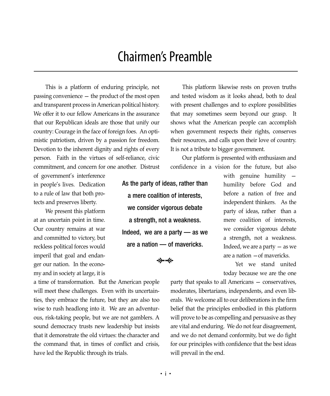# Chairmen's Preamble

This is a platform of enduring principle, not passing convenience  $-$  the product of the most open and transparent process in American political history. We offer it to our fellow Americans in the assurance that our Republican ideals are those that unify our country: Courage in the face of foreign foes. An optimistic patriotism, driven by a passion for freedom. Devotion to the inherent dignity and rights of every person. Faith in the virtues of self-reliance, civic commitment, and concern for one another. Distrust

of government's interference in people's lives. Dedication to a rule of law that both protects and preserves liberty.

We present this platform at an uncertain point in time. Our country remains at war and committed to victory, but reckless political forces would imperil that goal and endanger our nation. In the economy and in society at large, it is As the party of ideas, rather than a mere coalition of interests, we consider vigorous debate a strength, not a weakness. Indeed, we are a party — as we are a nation — of mavericks.

 $\rightarrow$ 

This platform likewise rests on proven truths and tested wisdom as it looks ahead, both to deal with present challenges and to explore possibilities that may sometimes seem beyond our grasp. It shows what the American people can accomplish when government respects their rights, conserves their resources, and calls upon their love of country. It is not a tribute to bigger government.

Our platform is presented with enthusiasm and confidence in a vision for the future, but also

> with genuine humility  $$ humility before God and before a nation of free and independent thinkers. As the party of ideas, rather than a mere coalition of interests, we consider vigorous debate a strength, not a weakness. Indeed, we are a party  $-$  as we are a nation  $-$ of mavericks.

> Yet we stand united today because we are the one

a time of transformation. But the American people will meet these challenges. Even with its uncertainties, they embrace the future, but they are also too wise to rush headlong into it. We are an adventurous, risk-taking people, but we are not gamblers. A sound democracy trusts new leadership but insists that it demonstrate the old virtues: the character and the command that, in times of conflict and crisis, have led the Republic through its trials.

party that speaks to all Americans  $-$  conservatives, moderates, libertarians, independents, and even liberals. We welcome all to our deliberations in the firm belief that the principles embodied in this platform will prove to be as compelling and persuasive as they are vital and enduring. We do not fear disagreement, and we do not demand conformity, but we do fight for our principles with confidence that the best ideas will prevail in the end.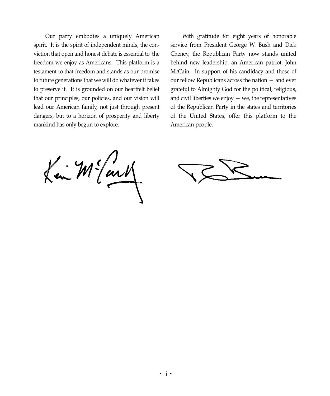Our party embodies a uniquely American spirit. It is the spirit of independent minds, the conviction that open and honest debate is essential to the freedom we enjoy as Americans. This platform is a testament to that freedom and stands as our promise to future generations that we will do whatever it takes to preserve it. It is grounded on our heartfelt belief that our principles, our policies, and our vision will lead our American family, not just through present dangers, but to a horizon of prosperity and liberty mankind has only begun to explore.

With gratitude for eight years of honorable service from President George W. Bush and Dick Cheney, the Republican Party now stands united behind new leadership, an American patriot, John McCain. In support of his candidacy and those of our fellow Republicans across the nation  $-$  and ever grateful to Almighty God for the political, religious, and civil liberties we enjoy  $-$  we, the representatives of the Republican Party in the states and territories of the United States, offer this platform to the American people.

Ken M { and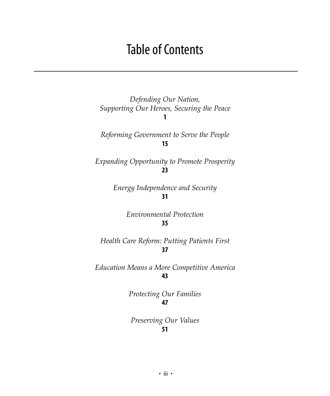# Table of Contents

*Defending Our Nation, Supporting Our Heroes, Securing the Peace* **1**

*Reforming Government to Serve the People* **15**

*Expanding Opportunity to Promote Prosperity* **23**

> *Energy Independence and Security* **31**

> > *Environmental Protection* **35**

*Health Care Reform: Putting Patients First* **37**

*Education Means a More Competitive America* **43**

> *Protecting Our Families* **47**

*Preserving Our Values* **51**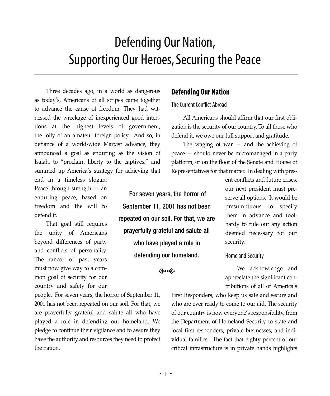# Defending Our Nation, Supporting Our Heroes, Securing the Peace

For seven years, the horror of

September 11, 2001 has not been repeated on our soil. For that, we are prayerfully grateful and salute all

who have played a role in

defending our homeland.

 $\clubsuit$ 

Three decades ago, in a world as dangerous as todayís, Americans of all stripes came together to advance the cause of freedom. They had witnessed the wreckage of inexperienced good intentions at the highest levels of government, the folly of an amateur foreign policy. And so, in defiance of a world-wide Marxist advance, they announced a goal as enduring as the vision of Isaiah, to "proclaim liberty to the captives," and summed up America's strategy for achieving that

end in a timeless slogan: Peace through strength  $-$  an enduring peace, based on freedom and the will to defend it.

That goal still requires the unity of Americans beyond differences of party and conflicts of personality. The rancor of past years must now give way to a common goal of security for our country and safety for our

people. For seven years, the horror of September 11, 2001 has not been repeated on our soil. For that, we are prayerfully grateful and salute all who have played a role in defending our homeland. We pledge to continue their vigilance and to assure they have the authority and resources they need to protect the nation.

# **Defending Our Nation**

#### The Current Conflict Abroad

All Americans should affirm that our first obligation is the security of our country. To all those who defend it, we owe our full support and gratitude.

The waging of war  $-$  and the achieving of peace – should never be micromanaged in a party platform, or on the floor of the Senate and House of Representatives for that matter. In dealing with pres-

> ent conflicts and future crises, our next president must preserve all options. It would be presumptuous to specify them in advance and foolhardy to rule out any action deemed necessary for our security.

#### Homeland Security

We acknowledge and appreciate the significant contributions of all of Americaís

First Responders, who keep us safe and secure and who are ever ready to come to our aid. The security of our country is now everyone's responsibility, from the Department of Homeland Security to state and local first responders, private businesses, and individual families. The fact that eighty percent of our critical infrastructure is in private hands highlights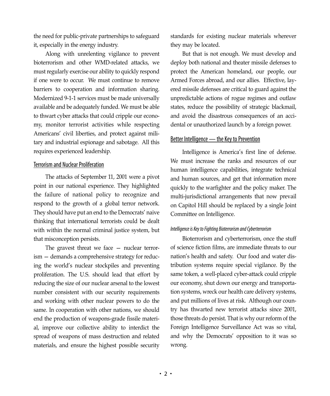the need for public-private partnerships to safeguard it, especially in the energy industry.

Along with unrelenting vigilance to prevent bioterrorism and other WMD-related attacks, we must regularly exercise our ability to quickly respond if one were to occur. We must continue to remove barriers to cooperation and information sharing. Modernized 9-1-1 services must be made universally available and be adequately funded. We must be able to thwart cyber attacks that could cripple our economy, monitor terrorist activities while respecting Americans' civil liberties, and protect against military and industrial espionage and sabotage. All this requires experienced leadership.

#### Terrorism and Nuclear Proliferation

The attacks of September 11, 2001 were a pivot point in our national experience. They highlighted the failure of national policy to recognize and respond to the growth of a global terror network. They should have put an end to the Democrats' naive thinking that international terrorists could be dealt with within the normal criminal justice system, but that misconception persists.

The gravest threat we face  $-$  nuclear terror $ism -$  demands a comprehensive strategy for reducing the world's nuclear stockpiles and preventing proliferation. The U.S. should lead that effort by reducing the size of our nuclear arsenal to the lowest number consistent with our security requirements and working with other nuclear powers to do the same. In cooperation with other nations, we should end the production of weapons-grade fissile material, improve our collective ability to interdict the spread of weapons of mass destruction and related materials, and ensure the highest possible security standards for existing nuclear materials wherever they may be located.

But that is not enough. We must develop and deploy both national and theater missile defenses to protect the American homeland, our people, our Armed Forces abroad, and our allies. Effective, layered missile defenses are critical to guard against the unpredictable actions of rogue regimes and outlaw states, reduce the possibility of strategic blackmail, and avoid the disastrous consequences of an accidental or unauthorized launch by a foreign power.

#### Better Intelligence — the Key to Prevention

Intelligence is America's first line of defense. We must increase the ranks and resources of our human intelligence capabilities, integrate technical and human sources, and get that information more quickly to the warfighter and the policy maker. The multi-jurisdictional arrangements that now prevail on Capitol Hill should be replaced by a single Joint Committee on Intelligence.

#### *Intelligence is Key to Fighting Bioterrorism and Cyberterrorism*

Bioterrorism and cyberterrorism, once the stuff of science fiction films, are immediate threats to our nation's health and safety. Our food and water distribution systems require special vigilance. By the same token, a well-placed cyber-attack could cripple our economy, shut down our energy and transportation systems, wreck our health care delivery systems, and put millions of lives at risk. Although our country has thwarted new terrorist attacks since 2001, those threats do persist. That is why our reform of the Foreign Intelligence Surveillance Act was so vital, and why the Democrats' opposition to it was so wrong.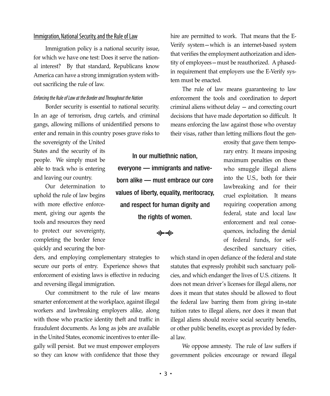#### Immigration, National Security, and the Rule of Law

Immigration policy is a national security issue, for which we have one test: Does it serve the national interest? By that standard, Republicans know America can have a strong immigration system without sacrificing the rule of law.

#### *Enforcing the Rule of Law at the Border and Throughout the Nation*

Border security is essential to national security. In an age of terrorism, drug cartels, and criminal gangs, allowing millions of unidentified persons to enter and remain in this country poses grave risks to

the sovereignty of the United States and the security of its people. We simply must be able to track who is entering and leaving our country.

Our determination to uphold the rule of law begins with more effective enforcement, giving our agents the tools and resources they need to protect our sovereignty, completing the border fence quickly and securing the bor-

ders, and employing complementary strategies to secure our ports of entry. Experience shows that enforcement of existing laws is effective in reducing and reversing illegal immigration.

Our commitment to the rule of law means smarter enforcement at the workplace, against illegal workers and lawbreaking employers alike, along with those who practice identity theft and traffic in fraudulent documents. As long as jobs are available in the United States, economic incentives to enter illegally will persist. But we must empower employers so they can know with confidence that those they

hire are permitted to work. That means that the E-Verify system-which is an internet-based system that verifies the employment authorization and identity of employees—must be reauthorized. A phasedin requirement that employers use the E-Verify system must be enacted.

The rule of law means guaranteeing to law enforcement the tools and coordination to deport criminal aliens without delay  $-$  and correcting court decisions that have made deportation so difficult. It means enforcing the law against those who overstay their visas, rather than letting millions flout the gen-

In our multiethnic nation, everyone — immigrants and nativeborn alike — must embrace our core values of liberty, equality, meritocracy, and respect for human dignity and the rights of women.

\*\*

erosity that gave them temporary entry. It means imposing maximum penalties on those who smuggle illegal aliens into the U.S., both for their lawbreaking and for their cruel exploitation. It means requiring cooperation among federal, state and local law enforcement and real consequences, including the denial of federal funds, for selfdescribed sanctuary cities,

which stand in open defiance of the federal and state statutes that expressly prohibit such sanctuary policies, and which endanger the lives of U.S. citizens. It does not mean driver's licenses for illegal aliens, nor does it mean that states should be allowed to flout the federal law barring them from giving in-state tuition rates to illegal aliens, nor does it mean that illegal aliens should receive social security benefits, or other public benefits, except as provided by federal law.

We oppose amnesty. The rule of law suffers if government policies encourage or reward illegal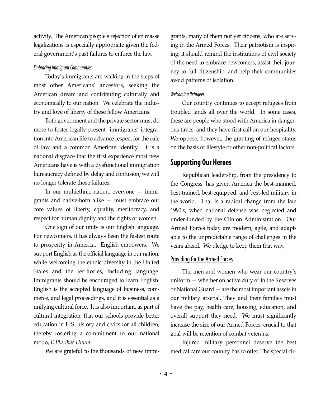activity. The American people's rejection of en masse legalizations is especially appropriate given the federal government's past failures to enforce the law.

#### *Embracing Immigrant Communities*

Todayís immigrants are walking in the steps of most other Americans' ancestors, seeking the American dream and contributing culturally and economically to our nation. We celebrate the industry and love of liberty of these fellow Americans.

Both government and the private sector must do more to foster legally present immigrants' integration into American life to advance respect for the rule of law and a common American identity. It is a national disgrace that the first experience most new Americans have is with a dysfunctional immigration bureaucracy defined by delay and confusion; we will no longer tolerate those failures.

In our multiethnic nation, everyone  $-$  immigrants and native-born alike  $-$  must embrace our core values of liberty, equality, meritocracy, and respect for human dignity and the rights of women.

One sign of our unity is our English language. For newcomers, it has always been the fastest route to prosperity in America. English empowers. We support English as the official language in our nation, while welcoming the ethnic diversity in the United States and the territories, including language. Immigrants should be encouraged to learn English. English is the accepted language of business, commerce, and legal proceedings, and it is essential as a unifying cultural force. It is also important, as part of cultural integration, that our schools provide better education in U.S. history and civics for all children, thereby fostering a commitment to our national motto, *E Pluribus Unum*.

We are grateful to the thousands of new immi-

grants, many of them not yet citizens, who are serving in the Armed Forces. Their patriotism is inspiring; it should remind the institutions of civil society of the need to embrace newcomers, assist their journey to full citizenship, and help their communities avoid patterns of isolation.

#### *Welcoming Refugees*

Our country continues to accept refugees from troubled lands all over the world. In some cases, these are people who stood with America in dangerous times, and they have first call on our hospitality. We oppose, however, the granting of refugee status on the basis of lifestyle or other non-political factors

# **Supporting Our Heroes**

Republican leadership, from the presidency to the Congress, has given America the best-manned, best-trained, best-equipped, and best-led military in the world. That is a radical change from the late 1990's, when national defense was neglected and under-funded by the Clinton Administration. Our Armed Forces today are modern, agile, and adaptable to the unpredictable range of challenges in the years ahead. We pledge to keep them that way.

#### Providing for the Armed Forces

The men and women who wear our country's uniform  $-$  whether on active duty or in the Reserves or National Guard  $-$  are the most important assets in our military arsenal. They and their families must have the pay, health care, housing, education, and overall support they need. We must significantly increase the size of our Armed Forces; crucial to that goal will be retention of combat veterans.

Injured military personnel deserve the best medical care our country has to offer. The special cir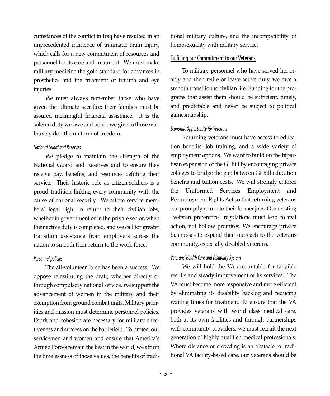cumstances of the conflict in Iraq have resulted in an unprecedented incidence of traumatic brain injury, which calls for a new commitment of resources and personnel for its care and treatment. We must make military medicine the gold standard for advances in prosthetics and the treatment of trauma and eye injuries.

We must always remember those who have given the ultimate sacrifice; their families must be assured meaningful financial assistance. It is the solemn duty we owe and honor we give to those who bravely don the uniform of freedom.

#### *National Guard and Reserves*

We pledge to maintain the strength of the National Guard and Reserves and to ensure they receive pay, benefits, and resources befitting their service. Their historic role as citizen-soldiers is a proud tradition linking every community with the cause of national security. We affirm service membersí legal right to return to their civilian jobs, whether in government or in the private sector, when their active duty is completed, and we call for greater transition assistance from employers across the nation to smooth their return to the work force.

#### *Personnel policies*

The all-volunteer force has been a success. We oppose reinstituting the draft, whether directly or through compulsory national service. We support the advancement of women in the military and their exemption from ground combat units. Military priorities and mission must determine personnel policies. Esprit and cohesion are necessary for military effectiveness and success on the battlefield. To protect our servicemen and women and ensure that America's Armed Forces remain the best in the world, we affirm the timelessness of those values, the benefits of traditional military culture, and the incompatibility of homosexuality with military service.

#### Fulfilling our Commitment to our Veterans

To military personnel who have served honorably and then retire or leave active duty, we owe a smooth transition to civilian life. Funding for the programs that assist them should be sufficient, timely, and predictable and never be subject to political gamesmanship.

#### *Economic Opportunity for Veterans*

Returning veterans must have access to education benefits, job training, and a wide variety of employment options. We want to build on the bipartisan expansion of the GI Bill by encouraging private colleges to bridge the gap between GI Bill education benefits and tuition costs. We will strongly enforce the Uniformed Services Employment and Reemployment Rights Act so that returning veterans can promptly return to their former jobs. Our existing "veteran preference" regulations must lead to real action, not hollow promises. We encourage private businesses to expand their outreach to the veterans community, especially disabled veterans.

#### *Veterans' Health Care and Disability System*

We will hold the VA accountable for tangible results and steady improvement of its services. The VA must become more responsive and more efficient by eliminating its disability backlog and reducing waiting times for treatment. To ensure that the VA provides veterans with world class medical care, both at its own facilities and through partnerships with community providers, we must recruit the next generation of highly qualified medical professionals. Where distance or crowding is an obstacle to traditional VA facility-based care, our veterans should be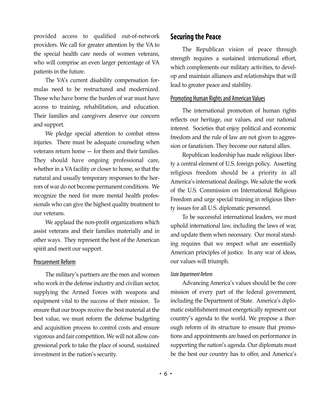provided access to qualified out-of-network providers. We call for greater attention by the VA to the special health care needs of women veterans, who will comprise an even larger percentage of VA patients in the future.

The VAís current disability compensation formulas need to be restructured and modernized. Those who have borne the burden of war must have access to training, rehabilitation, and education. Their families and caregivers deserve our concern and support.

We pledge special attention to combat stress injuries. There must be adequate counseling when veterans return home  $-$  for them and their families. They should have ongoing professional care, whether in a VA facility or closer to home, so that the natural and usually temporary responses to the horrors of war do not become permanent conditions. We recognize the need for more mental health professionals who can give the highest quality treatment to our veterans.

We applaud the non-profit organizations which assist veterans and their families materially and in other ways. They represent the best of the American spirit and merit our support.

#### Procurement Reform

The military's partners are the men and women who work in the defense industry and civilian sector, supplying the Armed Forces with weapons and equipment vital to the success of their mission. To ensure that our troops receive the best material at the best value, we must reform the defense budgeting and acquisition process to control costs and ensure vigorous and fair competition. We will not allow congressional pork to take the place of sound, sustained investment in the nation's security.

### **Securing the Peace**

The Republican vision of peace through strength requires a sustained international effort, which complements our military activities, to develop and maintain alliances and relationships that will lead to greater peace and stability.

#### Promoting Human Rights and American Values

The international promotion of human rights reflects our heritage, our values, and our national interest. Societies that enjoy political and economic freedom and the rule of law are not given to aggression or fanaticism. They become our natural allies.

Republican leadership has made religious liberty a central element of U.S. foreign policy. Asserting religious freedom should be a priority in all Americaís international dealings. We salute the work of the U.S. Commission on International Religious Freedom and urge special training in religious liberty issues for all U.S. diplomatic personnel.

To be successful international leaders, we must uphold international law, including the laws of war, and update them when necessary. Our moral standing requires that we respect what are essentially American principles of justice. In any war of ideas, our values will triumph.

#### *State Department Reform*

Advancing Americaís values should be the core mission of every part of the federal government, including the Department of State. America's diplomatic establishment must energetically represent our country's agenda to the world. We propose a thorough reform of its structure to ensure that promotions and appointments are based on performance in supporting the nation's agenda. Our diplomats must be the best our country has to offer, and America's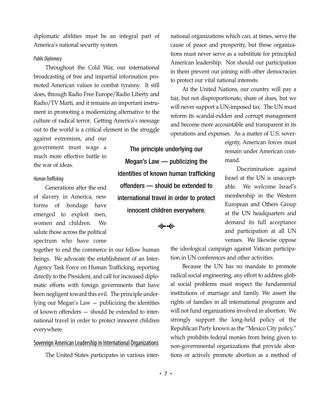diplomatic abilities must be an integral part of America's national security system.

#### *Public Diplomacy*

Throughout the Cold War, our international broadcasting of free and impartial information promoted American values to combat tyranny. It still does, through Radio Free Europe/Radio Liberty and Radio/TV Marti, and it remains an important instrument in promoting a modernizing alternative to the culture of radical terror. Getting Americaís message out to the world is a critical element in the struggle against extremism, and our

government must wage a much more effective battle in the war of ideas.

#### *Human Trafficking*

Generations after the end of slavery in America, new forms of bondage have emerged to exploit men, women and children. We salute those across the political spectrum who have come

together to end the commerce in our fellow human beings. We advocate the establishment of an Inter-Agency Task Force on Human Trafficking, reporting directly to the President, and call for increased diplomatic efforts with foreign governments that have been negligent toward this evil. The principle underlying our Megan's Law  $-$  publicizing the identities of known offenders  $-$  should be extended to international travel in order to protect innocent children everywhere.

#### Sovereign American Leadership in International Organizations

The United States participates in various inter-

national organizations which can, at times, serve the cause of peace and prosperity, but those organizations must never serve as a substitute for principled American leadership. Nor should our participation in them prevent our joining with other democracies to protect our vital national interests.

At the United Nations, our country will pay a fair, but not disproportionate, share of dues, but we will never support a UN-imposed tax. The UN must reform its scandal-ridden and corrupt management and become more accountable and transparent in its operations and expenses. As a matter of U.S. sover-

> eignty, American forces must remain under American command.

> Discrimination against Israel at the UN is unacceptable. We welcome Israel's membership in the Western European and Others Group at the UN headquarters and demand its full acceptance and participation at all UN venues. We likewise oppose

the ideological campaign against Vatican participation in UN conferences and other activities.

Because the UN has no mandate to promote radical social engineering, any effort to address global social problems must respect the fundamental institutions of marriage and family. We assert the rights of families in all international programs and will not fund organizations involved in abortion. We strongly support the long-held policy of the Republican Party known as the "Mexico City policy," which prohibits federal monies from being given to non-governmental organizations that provide abortions or actively promote abortion as a method of

 $\rightarrow$ 

international travel in order to protect

innocent children everywhere.

The principle underlying our

Megan's Law — publicizing the identities of known human trafficking offenders — should be extended to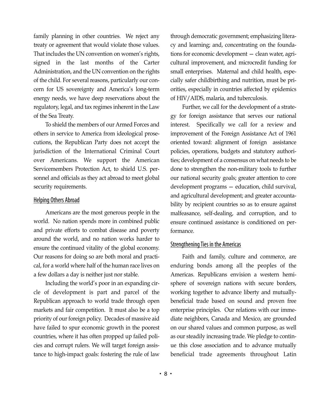family planning in other countries. We reject any treaty or agreement that would violate those values. That includes the UN convention on women's rights, signed in the last months of the Carter Administration, and the UN convention on the rights of the child. For several reasons, particularly our concern for US sovereignty and Americaís long-term energy needs, we have deep reservations about the regulatory, legal, and tax regimes inherent in the Law of the Sea Treaty.

To shield the members of our Armed Forces and others in service to America from ideological prosecutions, the Republican Party does not accept the jurisdiction of the International Criminal Court over Americans. We support the American Servicemembers Protection Act, to shield U.S. personnel and officials as they act abroad to meet global security requirements.

#### Helping Others Abroad

Americans are the most generous people in the world. No nation spends more in combined public and private efforts to combat disease and poverty around the world, and no nation works harder to ensure the continued vitality of the global economy. Our reasons for doing so are both moral and practical, for a world where half of the human race lives on a few dollars a day is neither just nor stable.

Including the world's poor in an expanding circle of development is part and parcel of the Republican approach to world trade through open markets and fair competition. It must also be a top priority of our foreign policy. Decades of massive aid have failed to spur economic growth in the poorest countries, where it has often propped up failed policies and corrupt rulers. We will target foreign assistance to high-impact goals: fostering the rule of law

through democratic government; emphasizing literacy and learning; and, concentrating on the foundations for economic development  $-$  clean water, agricultural improvement, and microcredit funding for small enterprises. Maternal and child health, especially safer childbirthing and nutrition, must be priorities, especially in countries affected by epidemics of HIV/AIDS, malaria, and tuberculosis.

Further, we call for the development of a strategy for foreign assistance that serves our national interest. Specifically we call for a review and improvement of the Foreign Assistance Act of 1961 oriented toward: alignment of foreign assistance policies, operations, budgets and statutory authorities; development of a consensus on what needs to be done to strengthen the non-military tools to further our national security goals; greater attention to core development programs - education, child survival, and agricultural development; and greater accountability by recipient countries so as to ensure against malfeasance, self-dealing, and corruption, and to ensure continued assistance is conditioned on performance.

#### Strengthening Ties in the Americas

Faith and family, culture and commerce, are enduring bonds among all the peoples of the Americas. Republicans envision a western hemisphere of sovereign nations with secure borders, working together to advance liberty and mutuallybeneficial trade based on sound and proven free enterprise principles. Our relations with our immediate neighbors, Canada and Mexico, are grounded on our shared values and common purpose, as well as our steadily increasing trade. We pledge to continue this close association and to advance mutually beneficial trade agreements throughout Latin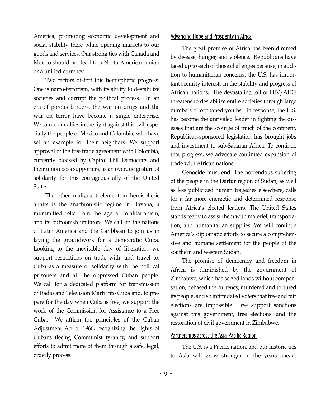America, promoting economic development and social stability there while opening markets to our goods and services. Our strong ties with Canada and Mexico should not lead to a North American union or a unified currency.

Two factors distort this hemispheric progress. One is narco-terrorism, with its ability to destabilize societies and corrupt the political process. In an era of porous borders, the war on drugs and the war on terror have become a single enterprise. We salute our allies in the fight against this evil, especially the people of Mexico and Colombia, who have set an example for their neighbors. We support approval of the free trade agreement with Colombia, currently blocked by Capitol Hill Democrats and their union boss supporters, as an overdue gesture of solidarity for this courageous ally of the United States.

The other malignant element in hemispheric affairs is the anachronistic regime in Havana, a mummified relic from the age of totalitarianism, and its buffoonish imitators. We call on the nations of Latin America and the Caribbean to join us in laying the groundwork for a democratic Cuba. Looking to the inevitable day of liberation, we support restrictions on trade with, and travel to, Cuba as a measure of solidarity with the political prisoners and all the oppressed Cuban people. We call for a dedicated platform for transmission of Radio and Television Marti into Cuba and, to prepare for the day when Cuba is free, we support the work of the Commission for Assistance to a Free Cuba. We affirm the principles of the Cuban Adjustment Act of 1966, recognizing the rights of Cubans fleeing Communist tyranny, and support efforts to admit more of them through a safe, legal, orderly process.

#### Advancing Hope and Prosperity in Africa

The great promise of Africa has been dimmed by disease, hunger, and violence. Republicans have faced up to each of those challenges because, in addition to humanitarian concerns, the U.S. has important security interests in the stability and progress of African nations. The devastating toll of HIV/AIDS threatens to destabilize entire societies through large numbers of orphaned youths. In response, the U.S. has become the unrivaled leader in fighting the diseases that are the scourge of much of the continent. Republican-sponsored legislation has brought jobs and investment to sub-Saharan Africa. To continue that progress, we advocate continued expansion of trade with African nations.

Genocide must end. The horrendous suffering of the people in the Darfur region of Sudan, as well as less publicized human tragedies elsewhere, calls for a far more energetic and determined response from Africaís elected leaders. The United States stands ready to assist them with materiel, transportation, and humanitarian supplies. We will continue Americaís diplomatic efforts to secure a comprehensive and humane settlement for the people of the southern and western Sudan.

The promise of democracy and freedom in Africa is diminished by the government of Zimbabwe, which has seized lands without compensation, debased the currency, murdered and tortured its people, and so intimidated voters that free and fair elections are impossible. We support sanctions against this government, free elections, and the restoration of civil government in Zimbabwe.

#### Partnerships across the Asia-Pacific Region

The U.S. is a Pacific nation, and our historic ties to Asia will grow stronger in the years ahead.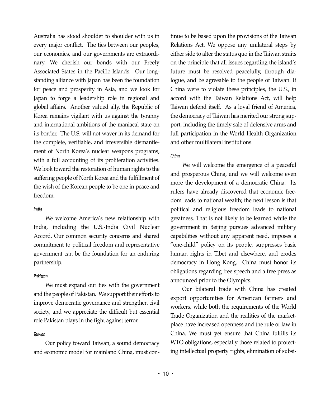Australia has stood shoulder to shoulder with us in every major conflict. The ties between our peoples, our economies, and our governments are extraordinary. We cherish our bonds with our Freely Associated States in the Pacific Islands. Our longstanding alliance with Japan has been the foundation for peace and prosperity in Asia, and we look for Japan to forge a leadership role in regional and global affairs. Another valued ally, the Republic of Korea remains vigilant with us against the tyranny and international ambitions of the maniacal state on its border. The U.S. will not waver in its demand for the complete, verifiable, and irreversible dismantlement of North Korea's nuclear weapons programs, with a full accounting of its proliferation activities. We look toward the restoration of human rights to the suffering people of North Korea and the fulfillment of the wish of the Korean people to be one in peace and freedom.

#### *India*

We welcome America's new relationship with India, including the U.S.-India Civil Nuclear Accord. Our common security concerns and shared commitment to political freedom and representative government can be the foundation for an enduring partnership.

#### *Pakistan*

We must expand our ties with the government and the people of Pakistan. We support their efforts to improve democratic governance and strengthen civil society, and we appreciate the difficult but essential role Pakistan plays in the fight against terror.

#### *Taiwan*

Our policy toward Taiwan, a sound democracy and economic model for mainland China, must continue to be based upon the provisions of the Taiwan Relations Act. We oppose any unilateral steps by either side to alter the status quo in the Taiwan straits on the principle that all issues regarding the island's future must be resolved peacefully, through dialogue, and be agreeable to the people of Taiwan. If China were to violate these principles, the U.S., in accord with the Taiwan Relations Act, will help Taiwan defend itself. As a loyal friend of America, the democracy of Taiwan has merited our strong support, including the timely sale of defensive arms and full participation in the World Health Organization and other multilateral institutions.

#### *China*

We will welcome the emergence of a peaceful and prosperous China, and we will welcome even more the development of a democratic China. Its rulers have already discovered that economic freedom leads to national wealth; the next lesson is that political and religious freedom leads to national greatness. That is not likely to be learned while the government in Beijing pursues advanced military capabilities without any apparent need, imposes a "one-child" policy on its people, suppresses basic human rights in Tibet and elsewhere, and erodes democracy in Hong Kong. China must honor its obligations regarding free speech and a free press as announced prior to the Olympics.

Our bilateral trade with China has created export opportunities for American farmers and workers, while both the requirements of the World Trade Organization and the realities of the marketplace have increased openness and the rule of law in China. We must yet ensure that China fulfills its WTO obligations, especially those related to protecting intellectual property rights, elimination of subsi-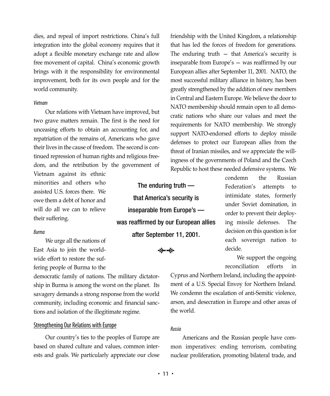dies, and repeal of import restrictions. Chinaís full integration into the global economy requires that it adopt a flexible monetary exchange rate and allow free movement of capital. China's economic growth brings with it the responsibility for environmental improvement, both for its own people and for the world community.

#### *Vietnam*

Our relations with Vietnam have improved, but two grave matters remain. The first is the need for unceasing efforts to obtain an accounting for, and repatriation of the remains of, Americans who gave their lives in the cause of freedom. The second is continued repression of human rights and religious freedom, and the retribution by the government of

Vietnam against its ethnic minorities and others who assisted U.S. forces there. We owe them a debt of honor and will do all we can to relieve their suffering.

#### *Burma*

We urge all the nations of East Asia to join the worldwide effort to restore the suffering people of Burma to the

democratic family of nations. The military dictatorship in Burma is among the worst on the planet. Its savagery demands a strong response from the world community, including economic and financial sanctions and isolation of the illegitimate regime.

#### Strengthening Our Relations with Europe

Our countryís ties to the peoples of Europe are based on shared culture and values, common interests and goals. We particularly appreciate our close friendship with the United Kingdom, a relationship that has led the forces of freedom for generations. The enduring truth  $-$  that America's security is inseparable from Europe's  $-$  was reaffirmed by our European allies after September 11, 2001. NATO, the most successful military alliance in history, has been greatly strengthened by the addition of new members in Central and Eastern Europe. We believe the door to NATO membership should remain open to all democratic nations who share our values and meet the requirements for NATO membership. We strongly support NATO-endorsed efforts to deploy missile defenses to protect our European allies from the threat of Iranian missiles, and we appreciate the willingness of the governments of Poland and the Czech Republic to host these needed defensive systems. We

The enduring truth that America's security is inseparable from Europe's was reaffirmed by our European allies after September 11, 2001.

 $\clubsuit$ 

condemn the Russian Federation's attempts to intimidate states, formerly under Soviet domination, in order to prevent their deploying missile defenses. The decision on this question is for each sovereign nation to decide.

We support the ongoing reconciliation efforts in

Cyprus and Northern Ireland, including the appointment of a U.S. Special Envoy for Northern Ireland. We condemn the escalation of anti-Semitic violence, arson, and desecration in Europe and other areas of the world.

#### *Russia*

Americans and the Russian people have common imperatives: ending terrorism, combating nuclear proliferation, promoting bilateral trade, and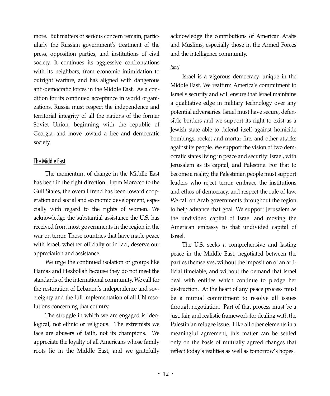more. But matters of serious concern remain, particularly the Russian government's treatment of the press, opposition parties, and institutions of civil society. It continues its aggressive confrontations with its neighbors, from economic intimidation to outright warfare, and has aligned with dangerous anti-democratic forces in the Middle East. As a condition for its continued acceptance in world organizations, Russia must respect the independence and territorial integrity of all the nations of the former Soviet Union, beginning with the republic of Georgia, and move toward a free and democratic society.

#### The Middle East

The momentum of change in the Middle East has been in the right direction. From Morocco to the Gulf States, the overall trend has been toward cooperation and social and economic development, especially with regard to the rights of women. We acknowledge the substantial assistance the U.S. has received from most governments in the region in the war on terror. Those countries that have made peace with Israel, whether officially or in fact, deserve our appreciation and assistance.

We urge the continued isolation of groups like Hamas and Hezbollah because they do not meet the standards of the international community. We call for the restoration of Lebanon's independence and sovereignty and the full implementation of all UN resolutions concerning that country.

The struggle in which we are engaged is ideological, not ethnic or religious. The extremists we face are abusers of faith, not its champions. We appreciate the loyalty of all Americans whose family roots lie in the Middle East, and we gratefully

acknowledge the contributions of American Arabs and Muslims, especially those in the Armed Forces and the intelligence community.

#### *Israel*

Israel is a vigorous democracy, unique in the Middle East. We reaffirm Americaís commitment to Israel's security and will ensure that Israel maintains a qualitative edge in military technology over any potential adversaries. Israel must have secure, defensible borders and we support its right to exist as a Jewish state able to defend itself against homicide bombings, rocket and mortar fire, and other attacks against its people. We support the vision of two democratic states living in peace and security: Israel, with Jerusalem as its capital, and Palestine. For that to become a reality, the Palestinian people must support leaders who reject terror, embrace the institutions and ethos of democracy, and respect the rule of law. We call on Arab governments throughout the region to help advance that goal. We support Jerusalem as the undivided capital of Israel and moving the American embassy to that undivided capital of Israel.

The U.S. seeks a comprehensive and lasting peace in the Middle East, negotiated between the parties themselves, without the imposition of an artificial timetable, and without the demand that Israel deal with entities which continue to pledge her destruction. At the heart of any peace process must be a mutual commitment to resolve all issues through negotiation. Part of that process must be a just, fair, and realistic framework for dealing with the Palestinian refugee issue. Like all other elements in a meaningful agreement, this matter can be settled only on the basis of mutually agreed changes that reflect today's realities as well as tomorrow's hopes.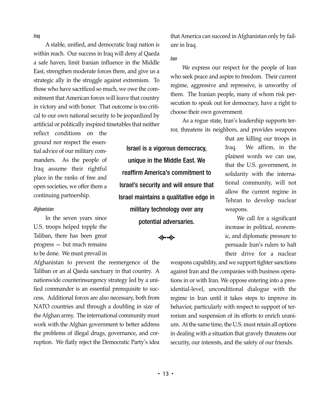*Iraq*

A stable, unified, and democratic Iraqi nation is within reach. Our success in Iraq will deny al Qaeda a safe haven, limit Iranian influence in the Middle East, strengthen moderate forces there, and give us a strategic ally in the struggle against extremism. To those who have sacrificed so much, we owe the commitment that American forces will leave that country in victory and with honor. That outcome is too critical to our own national security to be jeopardized by artificial or politically inspired timetables that neither

reflect conditions on the ground nor respect the essential advice of our military commanders. As the people of Iraq assume their rightful place in the ranks of free and open societies, we offer them a continuing partnership.

#### *Afghanistan*

In the seven years since U.S. troops helped topple the Taliban, there has been great  $progress - but much remains$ to be done. We must prevail in

Afghanistan to prevent the reemergence of the Taliban or an al Qaeda sanctuary in that country. A nationwide counterinsurgency strategy led by a unified commander is an essential prerequisite to success. Additional forces are also necessary, both from NATO countries and through a doubling in size of the Afghan army. The international community must work with the Afghan government to better address the problems of illegal drugs, governance, and corruption. We flatly reject the Democratic Party's idea

Israel is a vigorous democracy, unique in the Middle East. We reaffirm America's commitment to Israel's security and will ensure that Israel maintains a qualitative edge in military technology over any potential adversaries.

 $\rightarrowtail$ 

that America can succeed in Afghanistan only by failure in Iraq.

*Iran*

We express our respect for the people of Iran who seek peace and aspire to freedom. Their current regime, aggressive and repressive, is unworthy of them. The Iranian people, many of whom risk persecution to speak out for democracy, have a right to choose their own government.

As a rogue state, Iran's leadership supports terror, threatens its neighbors, and provides weapons

> that are killing our troops in Iraq. We affirm, in the plainest words we can use, that the U.S. government, in solidarity with the international community, will not allow the current regime in Tehran to develop nuclear weapons.

> We call for a significant increase in political, economic, and diplomatic pressure to persuade Iran's rulers to halt their drive for a nuclear

weapons capability, and we support tighter sanctions against Iran and the companies with business operations in or with Iran. We oppose entering into a presidential-level, unconditional dialogue with the regime in Iran until it takes steps to improve its behavior, particularly with respect to support of terrorism and suspension of its efforts to enrich uranium. At the same time, the U.S. must retain all options in dealing with a situation that gravely threatens our security, our interests, and the safety of our friends.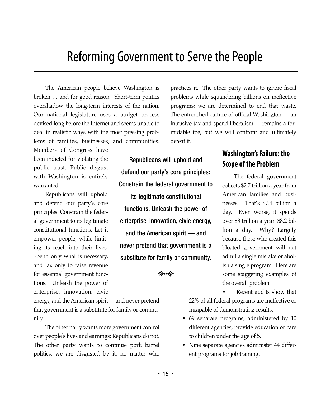# Reforming Government to Serve the People

Republicans will uphold and

defend our party's core principles: Constrain the federal government to

its legitimate constitutional functions. Unleash the power of enterprise, innovation, civic energy,

and the American spirit — and

never pretend that government is a substitute for family or community.

 $\clubsuit$ 

The American people believe Washington is broken ... and for good reason. Short-term politics overshadow the long-term interests of the nation. Our national legislature uses a budget process devised long before the Internet and seems unable to deal in realistic ways with the most pressing problems of families, businesses, and communities.

Members of Congress have been indicted for violating the public trust. Public disgust with Washington is entirely warranted.

Republicans will uphold and defend our party's core principles: Constrain the federal government to its legitimate constitutional functions. Let it empower people, while limiting its reach into their lives. Spend only what is necessary, and tax only to raise revenue for essential government functions. Unleash the power of enterprise, innovation, civic

energy, and the American spirit  $-$  and never pretend that government is a substitute for family or community.

The other party wants more government control over people's lives and earnings; Republicans do not. The other party wants to continue pork barrel politics; we are disgusted by it, no matter who practices it. The other party wants to ignore fiscal problems while squandering billions on ineffective programs; we are determined to end that waste. The entrenched culture of official Washington  $-$  an intrusive tax-and-spend liberalism  $-$  remains a formidable foe, but we will confront and ultimately defeat it.

# **Washington's Failure: the Scope of the Problem**

The federal government collects \$2.7 trillion a year from American families and businesses. That's \$7.4 billion a day. Even worse, it spends over \$3 trillion a year: \$8.2 billion a day. Why? Largely because those who created this bloated government will not admit a single mistake or abolish a single program. Here are some staggering examples of the overall problem:

Recent audits show that 22% of all federal programs are ineffective or incapable of demonstrating results.

- 69 separate programs, administered by 10 different agencies, provide education or care to children under the age of 5.
- Nine separate agencies administer 44 different programs for job training.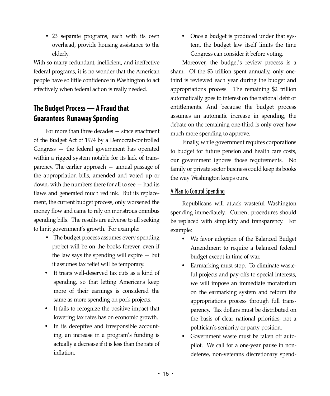• 23 separate programs, each with its own overhead, provide housing assistance to the elderly.

With so many redundant, inefficient, and ineffective federal programs, it is no wonder that the American people have so little confidence in Washington to act effectively when federal action is really needed.

# **The Budget Process — A Fraud that Guarantees Runaway Spending**

For more than three decades  $-$  since enactment of the Budget Act of 1974 by a Democrat-controlled Congress  $-$  the federal government has operated within a rigged system notable for its lack of transparency. The earlier approach  $-$  annual passage of the appropriation bills, amended and voted up or down, with the numbers there for all to see  $-$  had its flaws and generated much red ink. But its replacement, the current budget process, only worsened the money flow and came to rely on monstrous omnibus spending bills. The results are adverse to all seeking to limit government's growth. For example:

- The budget process assumes every spending project will be on the books forever, even if the law says the spending will expire  $-$  but it assumes tax relief will be temporary.
- It treats well-deserved tax cuts as a kind of spending, so that letting Americans keep more of their earnings is considered the same as more spending on pork projects.
- It fails to recognize the positive impact that lowering tax rates has on economic growth.
- In its deceptive and irresponsible accounting, an increase in a program's funding is actually a decrease if it is less than the rate of inflation.

• Once a budget is produced under that system, the budget law itself limits the time Congress can consider it before voting.

Moreover, the budget's review process is a sham. Of the \$3 trillion spent annually, only onethird is reviewed each year during the budget and appropriations process. The remaining \$2 trillion automatically goes to interest on the national debt or entitlements. And because the budget process assumes an automatic increase in spending, the debate on the remaining one-third is only over how much more spending to approve.

Finally, while government requires corporations to budget for future pension and health care costs, our government ignores those requirements. No family or private sector business could keep its books the way Washington keeps ours.

#### A Plan to Control Spending

Republicans will attack wasteful Washington spending immediately. Current procedures should be replaced with simplicity and transparency. For example:

- We favor adoption of the Balanced Budget Amendment to require a balanced federal budget except in time of war.
- Earmarking must stop. To eliminate wasteful projects and pay-offs to special interests, we will impose an immediate moratorium on the earmarking system and reform the appropriations process through full transparency. Tax dollars must be distributed on the basis of clear national priorities, not a politician's seniority or party position.
- Government waste must be taken off autopilot. We call for a one-year pause in nondefense, non-veterans discretionary spend-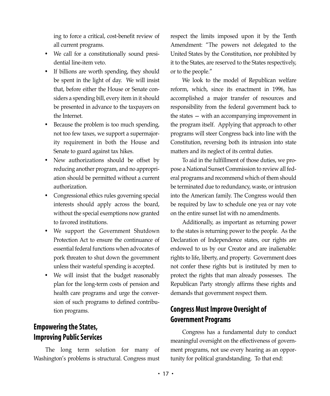ing to force a critical, cost-benefit review of all current programs.

- We call for a constitutionally sound presidential line-item veto.
- If billions are worth spending, they should be spent in the light of day. We will insist that, before either the House or Senate considers a spending bill, every item in it should be presented in advance to the taxpayers on the Internet.
- Because the problem is too much spending, not too few taxes, we support a supermajority requirement in both the House and Senate to guard against tax hikes.
- New authorizations should be offset by reducing another program, and no appropriation should be permitted without a current authorization.
- Congressional ethics rules governing special interests should apply across the board, without the special exemptions now granted to favored institutions.
- We support the Government Shutdown Protection Act to ensure the continuance of essential federal functions when advocates of pork threaten to shut down the government unless their wasteful spending is accepted.
- We will insist that the budget reasonably plan for the long-term costs of pension and health care programs and urge the conversion of such programs to defined contribution programs.

# **Empowering the States, Improving Public Services**

The long term solution for many of Washington's problems is structural. Congress must

respect the limits imposed upon it by the Tenth Amendment: "The powers not delegated to the United States by the Constitution, nor prohibited by it to the States, are reserved to the States respectively, or to the people."

We look to the model of Republican welfare reform, which, since its enactment in 1996, has accomplished a major transfer of resources and responsibility from the federal government back to the states  $-$  with an accompanying improvement in the program itself. Applying that approach to other programs will steer Congress back into line with the Constitution, reversing both its intrusion into state matters and its neglect of its central duties.

To aid in the fulfillment of those duties, we propose a National Sunset Commission to review all federal programs and recommend which of them should be terminated due to redundancy, waste, or intrusion into the American family. The Congress would then be required by law to schedule one yea or nay vote on the entire sunset list with no amendments.

Additionally, as important as returning power to the states is returning power to the people. As the Declaration of Independence states, our rights are endowed to us by our Creator and are inalienable: rights to life, liberty, and property. Government does not confer these rights but is instituted by men to protect the rights that man already possesses. The Republican Party strongly affirms these rights and demands that government respect them.

# **Congress Must Improve Oversight of Government Programs**

Congress has a fundamental duty to conduct meaningful oversight on the effectiveness of government programs, not use every hearing as an opportunity for political grandstanding. To that end: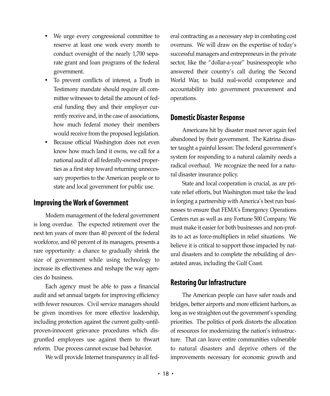- We urge every congressional committee to reserve at least one week every month to conduct oversight of the nearly 1,700 separate grant and loan programs of the federal government.
- To prevent conflicts of interest, a Truth in Testimony mandate should require all committee witnesses to detail the amount of federal funding they and their employer currently receive and, in the case of associations, how much federal money their members would receive from the proposed legislation.
- Because official Washington does not even know how much land it owns, we call for a national audit of all federally-owned properties as a first step toward returning unnecessary properties to the American people or to state and local government for public use.

### **Improving the Work of Government**

Modern management of the federal government is long overdue. The expected retirement over the next ten years of more than 40 percent of the federal workforce, and 60 percent of its managers, presents a rare opportunity: a chance to gradually shrink the size of government while using technology to increase its effectiveness and reshape the way agencies do business.

Each agency must be able to pass a financial audit and set annual targets for improving efficiency with fewer resources. Civil service managers should be given incentives for more effective leadership, including protection against the current guilty-untilproven-innocent grievance procedures which disgruntled employees use against them to thwart reform. Due process cannot excuse bad behavior.

We will provide Internet transparency in all fed-

eral contracting as a necessary step in combating cost overruns. We will draw on the expertise of today's successful managers and entrepreneurs in the private sector, like the "dollar-a-year" businesspeople who answered their countryís call during the Second World War, to build real-world competence and accountability into government procurement and operations.

### **Domestic Disaster Response**

Americans hit by disaster must never again feel abandoned by their government. The Katrina disaster taught a painful lesson: The federal government's system for responding to a natural calamity needs a radical overhaul. We recognize the need for a natural disaster insurance policy.

State and local cooperation is crucial, as are private relief efforts, but Washington must take the lead in forging a partnership with Americaís best run businesses to ensure that FEMA's Emergency Operations Centers run as well as any Fortune 500 Company. We must make it easier for both businesses and non-profits to act as force-multipliers in relief situations. We believe it is critical to support those impacted by natural disasters and to complete the rebuilding of devastated areas, including the Gulf Coast.

# **Restoring Our Infrastructure**

The American people can have safer roads and bridges, better airports and more efficient harbors, as long as we straighten out the government's spending priorities. The politics of pork distorts the allocation of resources for modernizing the nation's infrastructure. That can leave entire communities vulnerable to natural disasters and deprive others of the improvements necessary for economic growth and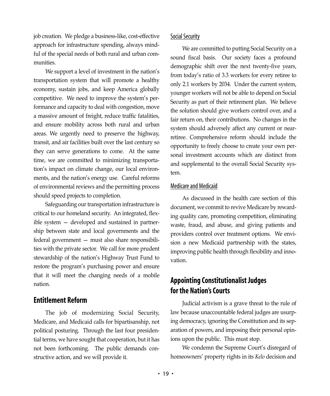job creation. We pledge a business-like, cost-effective approach for infrastructure spending, always mindful of the special needs of both rural and urban communities.

We support a level of investment in the nation's transportation system that will promote a healthy economy, sustain jobs, and keep America globally competitive. We need to improve the system's performance and capacity to deal with congestion, move a massive amount of freight, reduce traffic fatalities, and ensure mobility across both rural and urban areas. We urgently need to preserve the highway, transit, and air facilities built over the last century so they can serve generations to come. At the same time, we are committed to minimizing transportation's impact on climate change, our local environments, and the nation's energy use. Careful reforms of environmental reviews and the permitting process should speed projects to completion.

Safeguarding our transportation infrastructure is critical to our homeland security. An integrated, flex $ible$  system  $-$  developed and sustained in partnership between state and local governments and the federal government – must also share responsibilities with the private sector. We call for more prudent stewardship of the nation's Highway Trust Fund to restore the programís purchasing power and ensure that it will meet the changing needs of a mobile nation.

### **Entitlement Reform**

The job of modernizing Social Security, Medicare, and Medicaid calls for bipartisanship, not political posturing. Through the last four presidential terms, we have sought that cooperation, but it has not been forthcoming. The public demands constructive action, and we will provide it.

#### Social Security

We are committed to putting Social Security on a sound fiscal basis. Our society faces a profound demographic shift over the next twenty-five years, from todayís ratio of 3.3 workers for every retiree to only 2.1 workers by 2034. Under the current system, younger workers will not be able to depend on Social Security as part of their retirement plan. We believe the solution should give workers control over, and a fair return on, their contributions. No changes in the system should adversely affect any current or nearretiree. Comprehensive reform should include the opportunity to freely choose to create your own personal investment accounts which are distinct from and supplemental to the overall Social Security system.

#### Medicare and Medicaid

As discussed in the health care section of this document, we commit to revive Medicare by rewarding quality care, promoting competition, eliminating waste, fraud, and abuse, and giving patients and providers control over treatment options. We envision a new Medicaid partnership with the states, improving public health through flexibility and innovation.

# **Appointing Constitutionalist Judges for the Nation's Courts**

Judicial activism is a grave threat to the rule of law because unaccountable federal judges are usurping democracy, ignoring the Constitution and its separation of powers, and imposing their personal opinions upon the public. This must stop.

We condemn the Supreme Court's disregard of homeownersí property rights in its *Kelo* decision and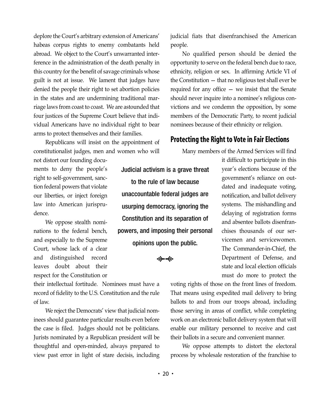deplore the Court's arbitrary extension of Americans' habeas corpus rights to enemy combatants held abroad. We object to the Court's unwarranted interference in the administration of the death penalty in this country for the benefit of savage criminals whose guilt is not at issue. We lament that judges have denied the people their right to set abortion policies in the states and are undermining traditional marriage laws from coast to coast. We are astounded that four justices of the Supreme Court believe that individual Americans have no individual right to bear arms to protect themselves and their families.

Republicans will insist on the appointment of constitutionalist judges, men and women who will

not distort our founding documents to deny the people's right to self-government, sanction federal powers that violate our liberties, or inject foreign law into American jurisprudence.

We oppose stealth nominations to the federal bench, and especially to the Supreme Court, whose lack of a clear and distinguished record leaves doubt about their respect for the Constitution or

their intellectual fortitude. Nominees must have a record of fidelity to the U.S. Constitution and the rule of law.

We reject the Democrats' view that judicial nominees should guarantee particular results even before the case is filed. Judges should not be politicians. Jurists nominated by a Republican president will be thoughtful and open-minded, always prepared to view past error in light of stare decisis, including

Judicial activism is a grave threat to the rule of law because unaccountable federal judges are usurping democracy, ignoring the Constitution and its separation of powers, and imposing their personal opinions upon the public.

 $\rightarrow$ 

judicial fiats that disenfranchised the American people.

No qualified person should be denied the opportunity to serve on the federal bench due to race, ethnicity, religion or sex. In affirming Article VI of the Constitution  $-$  that no religious test shall ever be required for any office  $-$  we insist that the Senate should never inquire into a nominee's religious convictions and we condemn the opposition, by some members of the Democratic Party, to recent judicial nominees because of their ethnicity or religion.

#### **Protecting the Right to Vote in Fair Elections**

Many members of the Armed Services will find

it difficult to participate in this year's elections because of the government's reliance on outdated and inadequate voting, notification, and ballot delivery systems. The mishandling and delaying of registration forms and absentee ballots disenfranchises thousands of our servicemen and servicewomen. The Commander-in-Chief, the Department of Defense, and state and local election officials must do more to protect the

voting rights of those on the front lines of freedom. That means using expedited mail delivery to bring ballots to and from our troops abroad, including those serving in areas of conflict, while completing work on an electronic ballot delivery system that will enable our military personnel to receive and cast their ballots in a secure and convenient manner.

We oppose attempts to distort the electoral process by wholesale restoration of the franchise to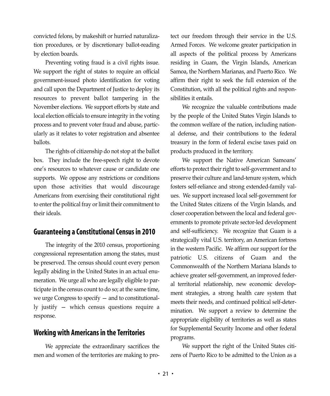convicted felons, by makeshift or hurried naturalization procedures, or by discretionary ballot-reading by election boards.

Preventing voting fraud is a civil rights issue. We support the right of states to require an official government-issued photo identification for voting and call upon the Department of Justice to deploy its resources to prevent ballot tampering in the November elections. We support efforts by state and local election officials to ensure integrity in the voting process and to prevent voter fraud and abuse, particularly as it relates to voter registration and absentee ballots.

The rights of citizenship do not stop at the ballot box. They include the free-speech right to devote oneís resources to whatever cause or candidate one supports. We oppose any restrictions or conditions upon those activities that would discourage Americans from exercising their constitutional right to enter the political fray or limit their commitment to their ideals.

### **Guaranteeing a Constitutional Census in 2010**

The integrity of the 2010 census, proportioning congressional representation among the states, must be preserved. The census should count every person legally abiding in the United States in an actual enumeration. We urge all who are legally eligible to participate in the census count to do so; at the same time, we urge Congress to specify  $-$  and to constitutionally justify  $-$  which census questions require a response.

# **Working with Americans in the Territories**

We appreciate the extraordinary sacrifices the men and women of the territories are making to pro-

tect our freedom through their service in the U.S. Armed Forces. We welcome greater participation in all aspects of the political process by Americans residing in Guam, the Virgin Islands, American Samoa, the Northern Marianas, and Puerto Rico. We affirm their right to seek the full extension of the Constitution, with all the political rights and responsibilities it entails.

We recognize the valuable contributions made by the people of the United States Virgin Islands to the common welfare of the nation, including national defense, and their contributions to the federal treasury in the form of federal excise taxes paid on products produced in the territory.

We support the Native American Samoans' efforts to protect their right to self-government and to preserve their culture and land-tenure system, which fosters self-reliance and strong extended-family values. We support increased local self-government for the United States citizens of the Virgin Islands, and closer cooperation between the local and federal governments to promote private sector-led development and self-sufficiency. We recognize that Guam is a strategically vital U.S. territory, an American fortress in the western Pacific. We affirm our support for the patriotic U.S. citizens of Guam and the Commonwealth of the Northern Mariana Islands to achieve greater self-government, an improved federal territorial relationship, new economic development strategies, a strong health care system that meets their needs, and continued political self-determination. We support a review to determine the appropriate eligibility of territories as well as states for Supplemental Security Income and other federal programs.

We support the right of the United States citizens of Puerto Rico to be admitted to the Union as a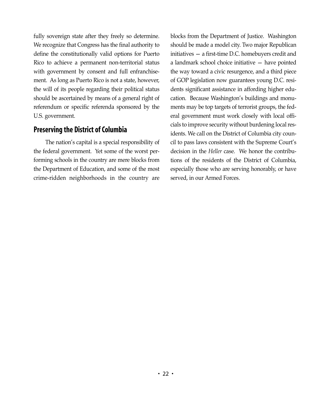fully sovereign state after they freely so determine. We recognize that Congress has the final authority to define the constitutionally valid options for Puerto Rico to achieve a permanent non-territorial status with government by consent and full enfranchisement. As long as Puerto Rico is not a state, however, the will of its people regarding their political status should be ascertained by means of a general right of referendum or specific referenda sponsored by the U.S. government.

# **Preserving the District of Columbia**

The nation's capital is a special responsibility of the federal government. Yet some of the worst performing schools in the country are mere blocks from the Department of Education, and some of the most crime-ridden neighborhoods in the country are

blocks from the Department of Justice. Washington should be made a model city. Two major Republican initiatives  $-$  a first-time D.C. homebuyers credit and a landmark school choice initiative  $-$  have pointed the way toward a civic resurgence, and a third piece of GOP legislation now guarantees young D.C. residents significant assistance in affording higher education. Because Washington's buildings and monuments may be top targets of terrorist groups, the federal government must work closely with local officials to improve security without burdening local residents. We call on the District of Columbia city council to pass laws consistent with the Supreme Court's decision in the *Heller* case. We honor the contributions of the residents of the District of Columbia, especially those who are serving honorably, or have served, in our Armed Forces.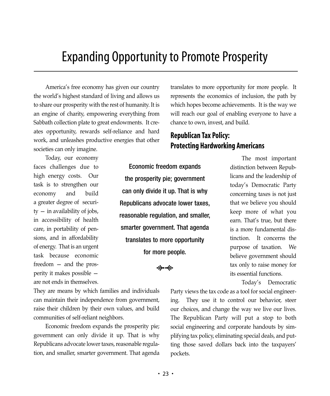# Expanding Opportunity to Promote Prosperity

Americaís free economy has given our country the world's highest standard of living and allows us to share our prosperity with the rest of humanity. It is an engine of charity, empowering everything from Sabbath collection plate to great endowments. It creates opportunity, rewards self-reliance and hard work, and unleashes productive energies that other societies can only imagine.

Today, our economy faces challenges due to high energy costs. Our task is to strengthen our economy and build a greater degree of securi $ty - in availability of jobs,$ in accessibility of health care, in portability of pensions, and in affordability of energy. That is an urgent task because economic  $freedom$  – and the prosperity it makes possible  $$ are not ends in themselves.

Economic freedom expands the prosperity pie; government can only divide it up. That is why Republicans advocate lower taxes, reasonable regulation, and smaller, smarter government. That agenda translates to more opportunity for more people.

\*\*

translates to more opportunity for more people. It represents the economics of inclusion, the path by which hopes become achievements. It is the way we will reach our goal of enabling everyone to have a chance to own, invest, and build.

# **Republican Tax Policy: Protecting Hardworking Americans**

The most important distinction between Republicans and the leadership of todayís Democratic Party concerning taxes is not just that we believe you should keep more of what you earn. That's true, but there is a more fundamental distinction. It concerns the purpose of taxation. We believe government should tax only to raise money for its essential functions.

Todayís Democratic

Party views the tax code as a tool for social engineering. They use it to control our behavior, steer our choices, and change the way we live our lives. The Republican Party will put a stop to both social engineering and corporate handouts by simplifying tax policy, eliminating special deals, and putting those saved dollars back into the taxpayers' pockets.

They are means by which families and individuals can maintain their independence from government, raise their children by their own values, and build communities of self-reliant neighbors.

Economic freedom expands the prosperity pie; government can only divide it up. That is why Republicans advocate lower taxes, reasonable regulation, and smaller, smarter government. That agenda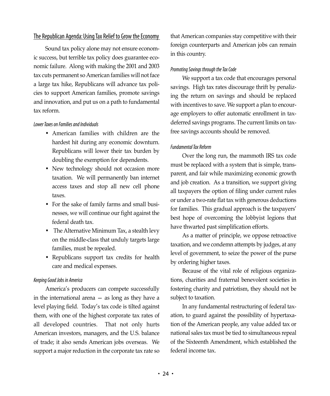#### The Republican Agenda:Using Tax Relief to Grow the Economy

Sound tax policy alone may not ensure economic success, but terrible tax policy does guarantee economic failure. Along with making the 2001 and 2003 tax cuts permanent so American families will not face a large tax hike, Republicans will advance tax policies to support American families, promote savings and innovation, and put us on a path to fundamental tax reform.

#### *Lower Taxes on Families and Individuals*

- American families with children are the hardest hit during any economic downturn. Republicans will lower their tax burden by doubling the exemption for dependents.
- New technology should not occasion more taxation. We will permanently ban internet access taxes and stop all new cell phone taxes.
- For the sake of family farms and small businesses, we will continue our fight against the federal death tax.
- The Alternative Minimum Tax, a stealth levy on the middle-class that unduly targets large families, must be repealed.
- ï Republicans support tax credits for health care and medical expenses.

#### *Keeping Good Jobs in America*

Americaís producers can compete successfully in the international arena  $-$  as long as they have a level playing field. Today's tax code is tilted against them, with one of the highest corporate tax rates of all developed countries. That not only hurts American investors, managers, and the U.S. balance of trade; it also sends American jobs overseas. We support a major reduction in the corporate tax rate so

that American companies stay competitive with their foreign counterparts and American jobs can remain in this country.

#### *Promoting Savings through the Tax Code*

We support a tax code that encourages personal savings. High tax rates discourage thrift by penalizing the return on savings and should be replaced with incentives to save. We support a plan to encourage employers to offer automatic enrollment in taxdeferred savings programs. The current limits on taxfree savings accounts should be removed.

#### *Fundamental Tax Reform*

Over the long run, the mammoth IRS tax code must be replaced with a system that is simple, transparent, and fair while maximizing economic growth and job creation. As a transition, we support giving all taxpayers the option of filing under current rules or under a two-rate flat tax with generous deductions for families. This gradual approach is the taxpayers' best hope of overcoming the lobbyist legions that have thwarted past simplification efforts.

As a matter of principle, we oppose retroactive taxation, and we condemn attempts by judges, at any level of government, to seize the power of the purse by ordering higher taxes.

Because of the vital role of religious organizations, charities and fraternal benevolent societies in fostering charity and patriotism, they should not be subject to taxation.

In any fundamental restructuring of federal taxation, to guard against the possibility of hypertaxation of the American people, any value added tax or national sales tax must be tied to simultaneous repeal of the Sixteenth Amendment, which established the federal income tax.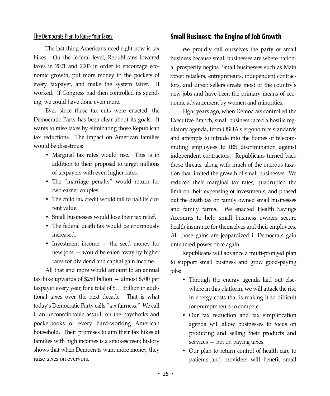#### The Democrats Plan to Raise Your Taxes

The last thing Americans need right now is tax hikes. On the federal level, Republicans lowered taxes in 2001 and 2003 in order to encourage economic growth, put more money in the pockets of every taxpayer, and make the system fairer. It worked. If Congress had then controlled its spending, we could have done even more.

Ever since those tax cuts were enacted, the Democratic Party has been clear about its goals: It wants to raise taxes by eliminating those Republican tax reductions. The impact on American families would be disastrous:

- Marginal tax rates would rise. This is in addition to their proposal to target millions of taxpayers with even higher rates.
- The "marriage penalty" would return for two-earner couples.
- The child tax credit would fall to half its current value.
- Small businesses would lose their tax relief.
- The federal death tax would be enormously increased.
- Investment income the seed money for new jobs  $-$  would be eaten away by higher rates for dividend and capital gain income.

All that and more would amount to an annual tax hike upwards of \$250 billion  $-$  almost \$700 per taxpayer every year, for a total of \$1.1 trillion in additional taxes over the next decade. That is what today's Democratic Party calls "tax fairness." We call it an unconscionable assault on the paychecks and pocketbooks of every hard-working American household. Their promises to aim their tax hikes at families with high incomes is a smokescreen; history shows that when Democrats want more money, they raise taxes on everyone.

# **Small Business: the Engine of Job Growth**

We proudly call ourselves the party of small business because small businesses are where national prosperity begins. Small businesses such as Main Street retailers, entrepreneurs, independent contractors, and direct sellers create most of the countryís new jobs and have been the primary means of economic advancement by women and minorities.

Eight years ago, when Democrats controlled the Executive Branch, small business faced a hostile regulatory agenda, from OSHAís ergonomics standards and attempts to intrude into the homes of telecommuting employees to IRS discrimination against independent contractors. Republicans turned back those threats, along with much of the onerous taxation that limited the growth of small businesses. We reduced their marginal tax rates, quadrupled the limit on their expensing of investments, and phased out the death tax on family owned small businesses and family farms. We enacted Health Savings Accounts to help small business owners secure health insurance for themselves and their employees. All those gains are jeopardized if Democrats gain unfettered power once again.

Republicans will advance a multi-pronged plan to support small business and grow good-paying jobs:

- Through the energy agenda laid out elsewhere in this platform, we will attack the rise in energy costs that is making it so difficult for entrepreneurs to compete.
- Our tax reduction and tax simplification agenda will allow businesses to focus on producing and selling their products and  $s$ ervices  $-$  not on paying taxes.
- Our plan to return control of health care to patients and providers will benefit small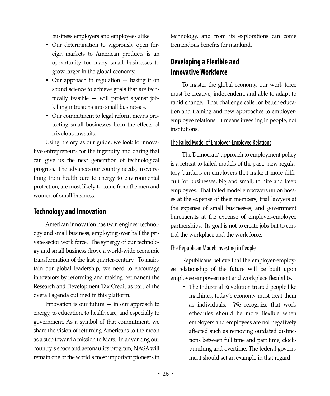business employers and employees alike.

- Our determination to vigorously open foreign markets to American products is an opportunity for many small businesses to grow larger in the global economy.
- $\bullet$  Our approach to regulation  $-$  basing it on sound science to achieve goals that are technically feasible  $-$  will protect against jobkilling intrusions into small businesses.
- Our commitment to legal reform means protecting small businesses from the effects of frivolous lawsuits.

Using history as our guide, we look to innovative entrepreneurs for the ingenuity and daring that can give us the next generation of technological progress. The advances our country needs, in everything from health care to energy to environmental protection, are most likely to come from the men and women of small business.

# **Technology and Innovation**

American innovation has twin engines: technology and small business, employing over half the private-sector work force. The synergy of our technology and small business drove a world-wide economic transformation of the last quarter-century. To maintain our global leadership, we need to encourage innovators by reforming and making permanent the Research and Development Tax Credit as part of the overall agenda outlined in this platform.

Innovation is our future  $-$  in our approach to energy, to education, to health care, and especially to government. As a symbol of that commitment, we share the vision of returning Americans to the moon as a step toward a mission to Mars. In advancing our country's space and aeronautics program, NASA will remain one of the world's most important pioneers in

technology, and from its explorations can come tremendous benefits for mankind.

# **Developing a Flexible and Innovative Workforce**

To master the global economy, our work force must be creative, independent, and able to adapt to rapid change. That challenge calls for better education and training and new approaches to employeremployee relations. It means investing in people, not institutions.

#### The Failed Model of Employer-Employee Relations

The Democrats' approach to employment policy is a retreat to failed models of the past: new regulatory burdens on employers that make it more difficult for businesses, big and small, to hire and keep employees. That failed model empowers union bosses at the expense of their members, trial lawyers at the expense of small businesses, and government bureaucrats at the expense of employer-employee partnerships. Its goal is not to create jobs but to control the workplace and the work force.

#### The Republican Model: Investing in People

Republicans believe that the employer-employee relationship of the future will be built upon employee empowerment and workplace flexibility.

• The Industrial Revolution treated people like machines; today's economy must treat them as individuals. We recognize that work schedules should be more flexible when employers and employees are not negatively affected such as removing outdated distinctions between full time and part time, clockpunching and overtime. The federal government should set an example in that regard.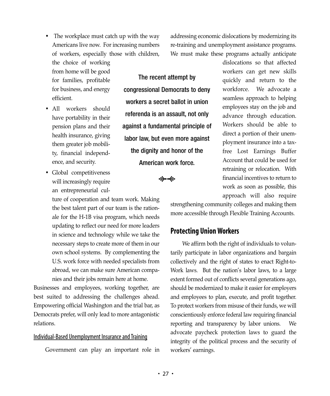of workers, especially those with children, the choice of working from home will be good for families, profitable for business, and energy efficient. • All workers should

• The workplace must catch up with the way Americans live now. For increasing numbers

- have portability in their pension plans and their health insurance, giving them greater job mobility, financial independence, and security.
- Global competitiveness will increasingly require an entrepreneurial cul-

ture of cooperation and team work. Making the best talent part of our team is the rationale for the H-1B visa program, which needs updating to reflect our need for more leaders in science and technology while we take the necessary steps to create more of them in our own school systems. By complementing the U.S. work force with needed specialists from abroad, we can make sure American companies and their jobs remain here at home.

Businesses and employees, working together, are best suited to addressing the challenges ahead. Empowering official Washington and the trial bar, as Democrats prefer, will only lead to more antagonistic relations.

#### Individual-Based Unemployment Insurance and Training

Government can play an important role in

addressing economic dislocations by modernizing its re-training and unemployment assistance programs. We must make these programs actually anticipate

The recent attempt by congressional Democrats to deny workers a secret ballot in union referenda is an assault, not only against a fundamental principle of labor law, but even more against the dignity and honor of the American work force.

 $\Rightarrow$ 

dislocations so that affected workers can get new skills quickly and return to the workforce. We advocate a seamless approach to helping employees stay on the job and advance through education. Workers should be able to direct a portion of their unemployment insurance into a taxfree Lost Earnings Buffer Account that could be used for retraining or relocation. With financial incentives to return to work as soon as possible, this approach will also require

strengthening community colleges and making them more accessible through Flexible Training Accounts.

#### **Protecting Union Workers**

We affirm both the right of individuals to voluntarily participate in labor organizations and bargain collectively and the right of states to enact Right-to-Work laws. But the nation's labor laws, to a large extent formed out of conflicts several generations ago, should be modernized to make it easier for employers and employees to plan, execute, and profit together. To protect workers from misuse of their funds, we will conscientiously enforce federal law requiring financial reporting and transparency by labor unions. We advocate paycheck protection laws to guard the integrity of the political process and the security of workers' earnings.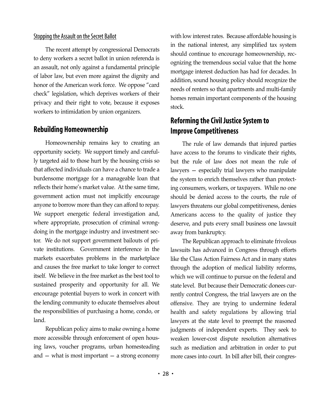#### Stopping the Assault on the Secret Ballot

The recent attempt by congressional Democrats to deny workers a secret ballot in union referenda is an assault, not only against a fundamental principle of labor law, but even more against the dignity and honor of the American work force. We oppose "card check" legislation, which deprives workers of their privacy and their right to vote, because it exposes workers to intimidation by union organizers.

# **Rebuilding Homeownership**

Homeownership remains key to creating an opportunity society. We support timely and carefully targeted aid to those hurt by the housing crisis so that affected individuals can have a chance to trade a burdensome mortgage for a manageable loan that reflects their home's market value. At the same time, government action must not implicitly encourage anyone to borrow more than they can afford to repay. We support energetic federal investigation and, where appropriate, prosecution of criminal wrongdoing in the mortgage industry and investment sector. We do not support government bailouts of private institutions. Government interference in the markets exacerbates problems in the marketplace and causes the free market to take longer to correct itself. We believe in the free market as the best tool to sustained prosperity and opportunity for all. We encourage potential buyers to work in concert with the lending community to educate themselves about the responsibilities of purchasing a home, condo, or land.

Republican policy aims to make owning a home more accessible through enforcement of open housing laws, voucher programs, urban homesteading and  $-$  what is most important  $-$  a strong economy

with low interest rates. Because affordable housing is in the national interest, any simplified tax system should continue to encourage homeownership, recognizing the tremendous social value that the home mortgage interest deduction has had for decades. In addition, sound housing policy should recognize the needs of renters so that apartments and multi-family homes remain important components of the housing stock.

# **Reforming the Civil Justice System to Improve Competitiveness**

The rule of law demands that injured parties have access to the forums to vindicate their rights, but the rule of law does not mean the rule of lawyers  $-$  especially trial lawyers who manipulate the system to enrich themselves rather than protecting consumers, workers, or taxpayers. While no one should be denied access to the courts, the rule of lawyers threatens our global competitiveness, denies Americans access to the quality of justice they deserve, and puts every small business one lawsuit away from bankruptcy.

The Republican approach to eliminate frivolous lawsuits has advanced in Congress through efforts like the Class Action Fairness Act and in many states through the adoption of medical liability reforms, which we will continue to pursue on the federal and state level. But because their Democratic donees currently control Congress, the trial lawyers are on the offensive. They are trying to undermine federal health and safety regulations by allowing trial lawyers at the state level to preempt the reasoned judgments of independent experts. They seek to weaken lower-cost dispute resolution alternatives such as mediation and arbitration in order to put more cases into court. In bill after bill, their congres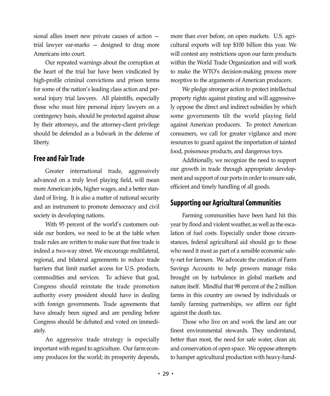sional allies insert new private causes of action  $-\frac{1}{2}$ trial lawyer ear-marks  $-$  designed to drag more Americans into court.

Our repeated warnings about the corruption at the heart of the trial bar have been vindicated by high-profile criminal convictions and prison terms for some of the nation's leading class action and personal injury trial lawyers. All plaintiffs, especially those who must hire personal injury lawyers on a contingency basis, should be protected against abuse by their attorneys, and the attorney-client privilege should be defended as a bulwark in the defense of liberty.

# **Free and Fair Trade**

Greater international trade, aggressively advanced on a truly level playing field, will mean more American jobs, higher wages, and a better standard of living. It is also a matter of national security and an instrument to promote democracy and civil society in developing nations.

With 95 percent of the world's customers outside our borders, we need to be at the table when trade rules are written to make sure that free trade is indeed a two-way street. We encourage multilateral, regional, and bilateral agreements to reduce trade barriers that limit market access for U.S. products, commodities and services. To achieve that goal, Congress should reinstate the trade promotion authority every president should have in dealing with foreign governments. Trade agreements that have already been signed and are pending before Congress should be debated and voted on immediately.

An aggressive trade strategy is especially important with regard to agriculture. Our farm economy produces for the world; its prosperity depends,

more than ever before, on open markets. U.S. agricultural exports will top \$100 billion this year. We will contest any restrictions upon our farm products within the World Trade Organization and will work to make the WTO's decision-making process more receptive to the arguments of American producers.

We pledge stronger action to protect intellectual property rights against pirating and will aggressively oppose the direct and indirect subsidies by which some governments tilt the world playing field against American producers. To protect American consumers, we call for greater vigilance and more resources to guard against the importation of tainted food, poisonous products, and dangerous toys.

Additionally, we recognize the need to support our growth in trade through appropriate development and support of our ports in order to ensure safe, efficient and timely handling of all goods.

# **Supporting our Agricultural Communities**

Farming communities have been hard hit this year by flood and violent weather, as well as the escalation of fuel costs. Especially under those circumstances, federal agricultural aid should go to those who need it most as part of a sensible economic safety-net for farmers. We advocate the creation of Farm Savings Accounts to help growers manage risks brought on by turbulence in global markets and nature itself. Mindful that 98 percent of the 2 million farms in this country are owned by individuals or family farming partnerships, we affirm our fight against the death tax.

Those who live on and work the land are our finest environmental stewards. They understand, better than most, the need for safe water, clean air, and conservation of open space. We oppose attempts to hamper agricultural production with heavy-hand-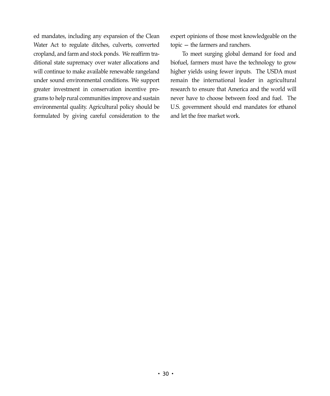ed mandates, including any expansion of the Clean Water Act to regulate ditches, culverts, converted cropland, and farm and stock ponds. We reaffirm traditional state supremacy over water allocations and will continue to make available renewable rangeland under sound environmental conditions. We support greater investment in conservation incentive programs to help rural communities improve and sustain environmental quality. Agricultural policy should be formulated by giving careful consideration to the

expert opinions of those most knowledgeable on the topic - the farmers and ranchers.

To meet surging global demand for food and biofuel, farmers must have the technology to grow higher yields using fewer inputs. The USDA must remain the international leader in agricultural research to ensure that America and the world will never have to choose between food and fuel. The U.S. government should end mandates for ethanol and let the free market work.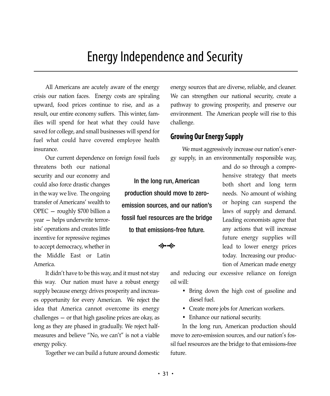# Energy Independence and Security

All Americans are acutely aware of the energy crisis our nation faces. Energy costs are spiraling upward, food prices continue to rise, and as a result, our entire economy suffers. This winter, families will spend for heat what they could have saved for college, and small businesses will spend for fuel what could have covered employee health insurance.

Our current dependence on foreign fossil fuels threatens both our national

security and our economy and could also force drastic changes in the way we live. The ongoing transfer of Americans' wealth to OPEC - roughly \$700 billion a year - helps underwrite terrorists' operations and creates little incentive for repressive regimes to accept democracy, whether in the Middle East or Latin America.

In the long run, American production should move to zeroemission sources, and our nation's fossil fuel resources are the bridge to that emissions-free future.

\*\*

energy sources that are diverse, reliable, and cleaner. We can strengthen our national security, create a pathway to growing prosperity, and preserve our environment. The American people will rise to this challenge.

# **Growing Our Energy Supply**

We must aggressively increase our nation's energy supply, in an environmentally responsible way,

> and do so through a comprehensive strategy that meets both short and long term needs. No amount of wishing or hoping can suspend the laws of supply and demand. Leading economists agree that any actions that will increase future energy supplies will lead to lower energy prices today. Increasing our production of American made energy

and reducing our excessive reliance on foreign oil will:

- Bring down the high cost of gasoline and diesel fuel.
- Create more jobs for American workers.
- Enhance our national security.

In the long run, American production should move to zero-emission sources, and our nation's fossil fuel resources are the bridge to that emissions-free future.

It didn't have to be this way, and it must not stay this way. Our nation must have a robust energy supply because energy drives prosperity and increases opportunity for every American. We reject the idea that America cannot overcome its energy challenges  $-$  or that high gasoline prices are okay, as long as they are phased in gradually. We reject halfmeasures and believe "No, we can't" is not a viable energy policy.

Together we can build a future around domestic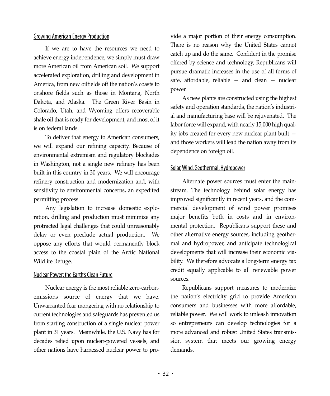#### Growing American Energy Production

If we are to have the resources we need to achieve energy independence, we simply must draw more American oil from American soil. We support accelerated exploration, drilling and development in America, from new oilfields off the nation's coasts to onshore fields such as those in Montana, North Dakota, and Alaska. The Green River Basin in Colorado, Utah, and Wyoming offers recoverable shale oil that is ready for development, and most of it is on federal lands.

To deliver that energy to American consumers, we will expand our refining capacity. Because of environmental extremism and regulatory blockades in Washington, not a single new refinery has been built in this country in 30 years. We will encourage refinery construction and modernization and, with sensitivity to environmental concerns, an expedited permitting process.

Any legislation to increase domestic exploration, drilling and production must minimize any protracted legal challenges that could unreasonably delay or even preclude actual production. We oppose any efforts that would permanently block access to the coastal plain of the Arctic National Wildlife Refuge.

#### Nuclear Power:the Earth's Clean Future

Nuclear energy is the most reliable zero-carbonemissions source of energy that we have. Unwarranted fear mongering with no relationship to current technologies and safeguards has prevented us from starting construction of a single nuclear power plant in 31 years. Meanwhile, the U.S. Navy has for decades relied upon nuclear-powered vessels, and other nations have harnessed nuclear power to pro-

vide a major portion of their energy consumption. There is no reason why the United States cannot catch up and do the same. Confident in the promise offered by science and technology, Republicans will pursue dramatic increases in the use of all forms of safe, affordable, reliable  $-$  and clean  $-$  nuclear power.

As new plants are constructed using the highest safety and operation standards, the nation's industrial and manufacturing base will be rejuvenated. The labor force will expand, with nearly 15,000 high quality jobs created for every new nuclear plant built  $$ and those workers will lead the nation away from its dependence on foreign oil.

#### Solar,Wind, Geothermal,Hydropower

Alternate power sources must enter the mainstream. The technology behind solar energy has improved significantly in recent years, and the commercial development of wind power promises major benefits both in costs and in environmental protection. Republicans support these and other alternative energy sources, including geothermal and hydropower, and anticipate technological developments that will increase their economic viability. We therefore advocate a long-term energy tax credit equally applicable to all renewable power sources.

Republicans support measures to modernize the nationís electricity grid to provide American consumers and businesses with more affordable, reliable power. We will work to unleash innovation so entrepreneurs can develop technologies for a more advanced and robust United States transmission system that meets our growing energy demands.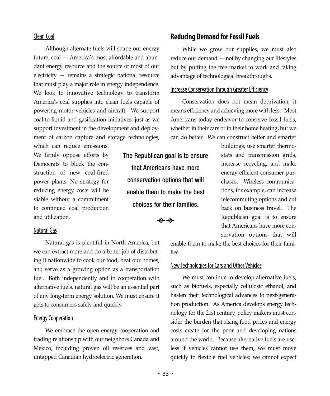#### Clean Coal

Although alternate fuels will shape our energy future, coal – America's most affordable and abundant energy resource and the source of most of our  $electricity$   $-$  remains a strategic national resource that must play a major role in energy independence. We look to innovative technology to transform Americaís coal supplies into clean fuels capable of powering motor vehicles and aircraft. We support coal-to-liquid and gasification initiatives, just as we support investment in the development and deployment of carbon capture and storage technologies, which can reduce emissions.

We firmly oppose efforts by Democrats to block the construction of new coal-fired power plants. No strategy for reducing energy costs will be viable without a commitment to continued coal production and utilization.

#### Natural Gas

Natural gas is plentiful in North America, but we can extract more and do a better job of distributing it nationwide to cook our food, heat our homes, and serve as a growing option as a transportation fuel. Both independently and in cooperation with alternative fuels, natural gas will be an essential part of any long-term energy solution. We must ensure it gets to consumers safely and quickly.

#### Energy Cooperation

We embrace the open energy cooperation and trading relationship with our neighbors Canada and Mexico, including proven oil reserves and vast, untapped Canadian hydroelectric generation.

The Republican goal is to ensure that Americans have more conservation options that will enable them to make the best choices for their families.

 $\clubsuit$ 

#### **Reducing Demand for Fossil Fuels**

While we grow our supplies, we must also  $reduce our demand - not by changing our lifestyles$ but by putting the free market to work and taking advantage of technological breakthroughs.

#### Increase Conservation through Greater Efficiency

Conservation does not mean deprivation; it means efficiency and achieving more with less. Most Americans today endeavor to conserve fossil fuels, whether in their cars or in their home heating, but we can do better. We can construct better and smarter

> buildings, use smarter thermostats and transmission grids, increase recycling, and make energy-efficient consumer purchases. Wireless communications, for example, can increase telecommuting options and cut back on business travel. The Republican goal is to ensure that Americans have more conservation options that will

enable them to make the best choices for their families.

#### New Technologies for Cars and Other Vehicles

We must continue to develop alternative fuels, such as biofuels, especially cellulosic ethanol, and hasten their technological advances to next-generation production. As America develops energy technology for the 21st century, policy makers must consider the burden that rising food prices and energy costs create for the poor and developing nations around the world. Because alternative fuels are useless if vehicles cannot use them, we must move quickly to flexible fuel vehicles; we cannot expect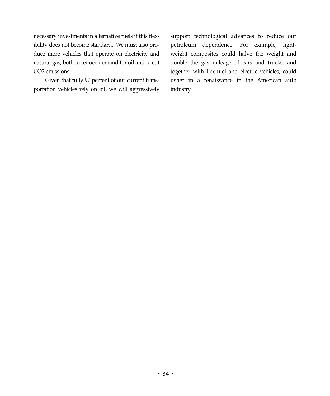necessary investments in alternative fuels if this flexibility does not become standard. We must also produce more vehicles that operate on electricity and natural gas, both to reduce demand for oil and to cut CO2 emissions.

Given that fully 97 percent of our current transportation vehicles rely on oil, we will aggressively support technological advances to reduce our petroleum dependence. For example, lightweight composites could halve the weight and double the gas mileage of cars and trucks, and together with flex-fuel and electric vehicles, could usher in a renaissance in the American auto industry.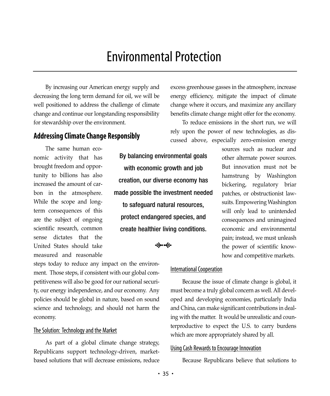# Environmental Protection

By increasing our American energy supply and decreasing the long term demand for oil, we will be well positioned to address the challenge of climate change and continue our longstanding responsibility for stewardship over the environment.

# **Addressing Climate Change Responsibly**

The same human economic activity that has brought freedom and opportunity to billions has also increased the amount of carbon in the atmosphere. While the scope and longterm consequences of this are the subject of ongoing scientific research, common sense dictates that the United States should take measured and reasonable

By balancing environmental goals with economic growth and job creation, our diverse economy has made possible the investment needed to safeguard natural resources, protect endangered species, and create healthier living conditions.

\*\*

excess greenhouse gasses in the atmosphere, increase energy efficiency, mitigate the impact of climate change where it occurs, and maximize any ancillary benefits climate change might offer for the economy.

To reduce emissions in the short run, we will rely upon the power of new technologies, as discussed above, especially zero-emission energy

> sources such as nuclear and other alternate power sources. But innovation must not be hamstrung by Washington bickering, regulatory briar patches, or obstructionist lawsuits. Empowering Washington will only lead to unintended consequences and unimagined economic and environmental pain; instead, we must unleash the power of scientific knowhow and competitive markets.

#### International Cooperation

Because the issue of climate change is global, it must become a truly global concern as well. All developed and developing economies, particularly India and China, can make significant contributions in dealing with the matter. It would be unrealistic and counterproductive to expect the U.S. to carry burdens which are more appropriately shared by all.

#### Using Cash Rewards to Encourage Innovation

Because Republicans believe that solutions to

steps today to reduce any impact on the environment. Those steps, if consistent with our global competitiveness will also be good for our national security, our energy independence, and our economy. Any policies should be global in nature, based on sound science and technology, and should not harm the economy.

#### The Solution: Technology and the Market

As part of a global climate change strategy, Republicans support technology-driven, marketbased solutions that will decrease emissions, reduce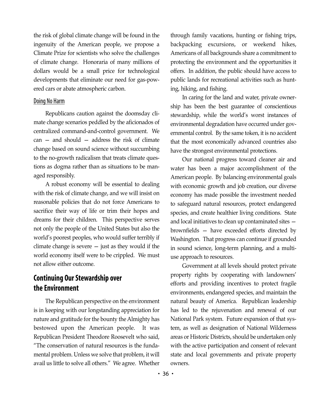the risk of global climate change will be found in the ingenuity of the American people, we propose a Climate Prize for scientists who solve the challenges of climate change. Honoraria of many millions of dollars would be a small price for technological developments that eliminate our need for gas-powered cars or abate atmospheric carbon.

#### Doing No Harm

Republicans caution against the doomsday climate change scenarios peddled by the aficionados of centralized command-and-control government. We  $can$  – and should – address the risk of climate change based on sound science without succumbing to the no-growth radicalism that treats climate questions as dogma rather than as situations to be managed responsibly.

A robust economy will be essential to dealing with the risk of climate change, and we will insist on reasonable policies that do not force Americans to sacrifice their way of life or trim their hopes and dreams for their children. This perspective serves not only the people of the United States but also the world's poorest peoples, who would suffer terribly if climate change is severe  $-$  just as they would if the world economy itself were to be crippled. We must not allow either outcome.

# **Continuing Our Stewardship over the Environment**

The Republican perspective on the environment is in keeping with our longstanding appreciation for nature and gratitude for the bounty the Almighty has bestowed upon the American people. It was Republican President Theodore Roosevelt who said, ìThe conservation of natural resources is the fundamental problem. Unless we solve that problem, it will avail us little to solve all others." We agree. Whether through family vacations, hunting or fishing trips, backpacking excursions, or weekend hikes, Americans of all backgrounds share a commitment to protecting the environment and the opportunities it offers. In addition, the public should have access to public lands for recreational activities such as hunting, hiking, and fishing.

In caring for the land and water, private ownership has been the best guarantee of conscientious stewardship, while the world's worst instances of environmental degradation have occurred under governmental control. By the same token, it is no accident that the most economically advanced countries also have the strongest environmental protections.

Our national progress toward cleaner air and water has been a major accomplishment of the American people. By balancing environmental goals with economic growth and job creation, our diverse economy has made possible the investment needed to safeguard natural resources, protect endangered species, and create healthier living conditions. State and local initiatives to clean up contaminated sites  $$ brownfields  $-$  have exceeded efforts directed by Washington. That progress can continue if grounded in sound science, long-term planning, and a multiuse approach to resources.

Government at all levels should protect private property rights by cooperating with landowners' efforts and providing incentives to protect fragile environments, endangered species, and maintain the natural beauty of America. Republican leadership has led to the rejuvenation and renewal of our National Park system. Future expansion of that system, as well as designation of National Wilderness areas or Historic Districts, should be undertaken only with the active participation and consent of relevant state and local governments and private property owners.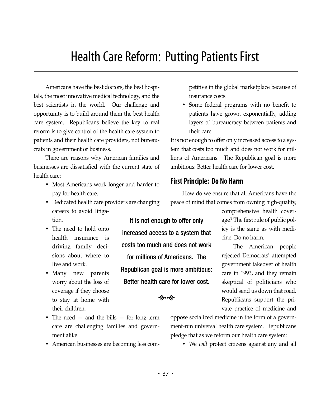# Health Care Reform: Putting Patients First

Americans have the best doctors, the best hospitals, the most innovative medical technology, and the best scientists in the world. Our challenge and opportunity is to build around them the best health care system. Republicans believe the key to real reform is to give control of the health care system to patients and their health care providers, not bureaucrats in government or business.

There are reasons why American families and businesses are dissatisfied with the current state of health care:

- Most Americans work longer and harder to pay for health care.
- Dedicated health care providers are changing careers to avoid litigation.
- The need to hold onto health insurance is driving family decisions about where to live and work.
- Many new parents worry about the loss of coverage if they choose to stay at home with their children.

It is not enough to offer only increased access to a system that costs too much and does not work for millions of Americans. The Republican goal is more ambitious: Better health care for lower cost.

\*\*

- The need  $-$  and the bills  $-$  for long-term care are challenging families and government alike.
- American businesses are becoming less com-

petitive in the global marketplace because of insurance costs.

• Some federal programs with no benefit to patients have grown exponentially, adding layers of bureaucracy between patients and their care.

It is not enough to offer only increased access to a system that costs too much and does not work for millions of Americans. The Republican goal is more ambitious: Better health care for lower cost.

### **First Principle: Do No Harm**

How do we ensure that all Americans have the peace of mind that comes from owning high-quality,

> comprehensive health coverage? The first rule of public policy is the same as with medicine: Do no harm.

> The American people rejected Democrats' attempted government takeover of health care in 1993, and they remain skeptical of politicians who would send us down that road. Republicans support the private practice of medicine and

oppose socialized medicine in the form of a government-run universal health care system. Republicans pledge that as we reform our health care system:

• We *will* protect citizens against any and all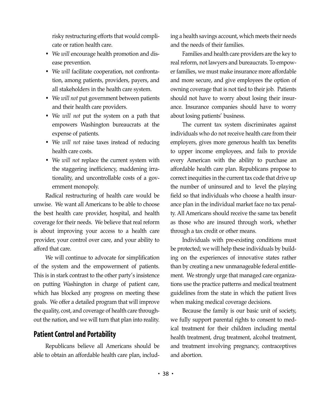risky restructuring efforts that would complicate or ration health care.

- We *will* encourage health promotion and disease prevention.
- We *will* facilitate cooperation, not confrontation, among patients, providers, payers, and all stakeholders in the health care system.
- ï We *will not* put government between patients and their health care providers.
- ï We *will not* put the system on a path that empowers Washington bureaucrats at the expense of patients.
- ï We *will not* raise taxes instead of reducing health care costs.
- We *will not* replace the current system with the staggering inefficiency, maddening irrationality, and uncontrollable costs of a government monopoly.

Radical restructuring of health care would be unwise. We want all Americans to be able to choose the best health care provider, hospital, and health coverage for their needs. We believe that real reform is about improving your access to a health care provider, your control over care, and your ability to afford that care.

We will continue to advocate for simplification of the system and the empowerment of patients. This is in stark contrast to the other party's insistence on putting Washington in charge of patient care, which has blocked any progress on meeting these goals. We offer a detailed program that will improve the quality, cost, and coverage of health care throughout the nation, and we will turn that plan into reality.

# **Patient Control and Portability**

Republicans believe all Americans should be able to obtain an affordable health care plan, including a health savings account, which meets their needs and the needs of their families.

Families and health care providers are the key to real reform, not lawyers and bureaucrats. To empower families, we must make insurance more affordable and more secure, and give employees the option of owning coverage that is not tied to their job. Patients should not have to worry about losing their insurance. Insurance companies should have to worry about losing patients' business.

The current tax system discriminates against individuals who do not receive health care from their employers, gives more generous health tax benefits to upper income employees, and fails to provide every American with the ability to purchase an affordable health care plan. Republicans propose to correct inequities in the current tax code that drive up the number of uninsured and to level the playing field so that individuals who choose a health insurance plan in the individual market face no tax penalty. All Americans should receive the same tax benefit as those who are insured through work, whether through a tax credit or other means.

Individuals with pre-existing conditions must be protected; we will help these individuals by building on the experiences of innovative states rather than by creating a new unmanageable federal entitlement. We strongly urge that managed care organizations use the practice patterns and medical treatment guidelines from the state in which the patient lives when making medical coverage decisions.

Because the family is our basic unit of society, we fully support parental rights to consent to medical treatment for their children including mental health treatment, drug treatment, alcohol treatment, and treatment involving pregnancy, contraceptives and abortion.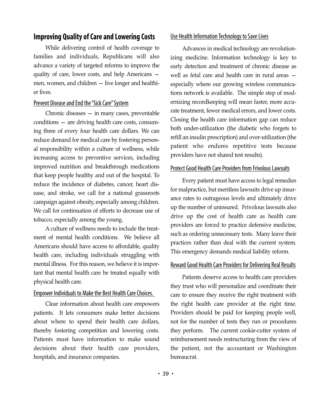# **Improving Quality of Care and Lowering Costs**

While delivering control of health coverage to families and individuals, Republicans will also advance a variety of targeted reforms to improve the quality of care, lower costs, and help Americans  $$ men, women, and children – live longer and healthier lives.

#### Prevent Disease and End the "Sick Care"System

Chronic diseases  $-$  in many cases, preventable conditions – are driving health care costs, consuming three of every four health care dollars. We can reduce demand for medical care by fostering personal responsibility within a culture of wellness, while increasing access to preventive services, including improved nutrition and breakthrough medications that keep people healthy and out of the hospital. To reduce the incidence of diabetes, cancer, heart disease, and stroke, we call for a national grassroots campaign against obesity, especially among children. We call for continuation of efforts to decrease use of tobacco, especially among the young.

A culture of wellness needs to include the treatment of mental health conditions. We believe all Americans should have access to affordable, quality health care, including individuals struggling with mental illness. For this reason, we believe it is important that mental health care be treated equally with physical health care.

#### Empower Individuals to Make the Best Health Care Choices.

Clear information about health care empowers patients. It lets consumers make better decisions about where to spend their health care dollars, thereby fostering competition and lowering costs. Patients must have information to make sound decisions about their health care providers, hospitals, and insurance companies.

#### Use Health Information Technology to Save Lives

Advances in medical technology are revolutionizing medicine. Information technology is key to early detection and treatment of chronic disease as well as fetal care and health care in rural areas  $$ especially where our growing wireless communications network is available. The simple step of modernizing recordkeeping will mean faster, more accurate treatment, fewer medical errors, and lower costs. Closing the health care information gap can reduce both under-utilization (the diabetic who forgets to refill an insulin prescription) and over-utilization (the patient who endures repetitive tests because providers have not shared test results).

#### Protect Good Health Care Providers from Frivolous Lawsuits

Every patient must have access to legal remedies for malpractice, but meritless lawsuits drive up insurance rates to outrageous levels and ultimately drive up the number of uninsured. Frivolous lawsuits also drive up the cost of health care as health care providers are forced to practice defensive medicine, such as ordering unnecessary tests. Many leave their practices rather than deal with the current system. This emergency demands medical liability reform.

#### Reward Good Health Care Providers for Delivering Real Results

Patients deserve access to health care providers they trust who will personalize and coordinate their care to ensure they receive the right treatment with the right health care provider at the right time. Providers should be paid for keeping people well, not for the number of tests they run or procedures they perform. The current cookie-cutter system of reimbursement needs restructuring from the view of the patient, not the accountant or Washington bureaucrat.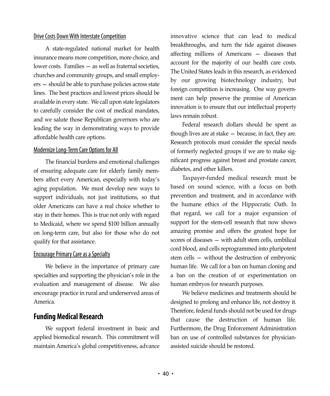#### Drive Costs Down With Interstate Competition

A state-regulated national market for health insurance means more competition, more choice, and lower costs. Families – as well as fraternal societies, churches and community groups, and small employers – should be able to purchase policies across state lines. The best practices and lowest prices should be available in every state. We call upon state legislators to carefully consider the cost of medical mandates, and we salute those Republican governors who are leading the way in demonstrating ways to provide affordable health care options.

#### Modernize Long-Term Care Options for All

The financial burdens and emotional challenges of ensuring adequate care for elderly family members affect every American, especially with today's aging population. We must develop new ways to support individuals, not just institutions, so that older Americans can have a real choice whether to stay in their homes. This is true not only with regard to Medicaid, where we spend \$100 billion annually on long-term care, but also for those who do not qualify for that assistance.

#### Encourage Primary Care as a Specialty

We believe in the importance of primary care specialties and supporting the physician's role in the evaluation and management of disease. We also encourage practice in rural and underserved areas of America.

# **Funding Medical Research**

We support federal investment in basic and applied biomedical research. This commitment will maintain Americaís global competitiveness, advance

innovative science that can lead to medical breakthroughs, and turn the tide against diseases affecting millions of Americans  $-$  diseases that account for the majority of our health care costs. The United States leads in this research, as evidenced by our growing biotechnology industry, but foreign competition is increasing. One way government can help preserve the promise of American innovation is to ensure that our intellectual property laws remain robust.

Federal research dollars should be spent as though lives are at stake  $-$  because, in fact, they are. Research protocols must consider the special needs of formerly neglected groups if we are to make significant progress against breast and prostate cancer, diabetes, and other killers.

Taxpayer-funded medical research must be based on sound science, with a focus on both prevention and treatment, and in accordance with the humane ethics of the Hippocratic Oath. In that regard, we call for a major expansion of support for the stem-cell research that now shows amazing promise and offers the greatest hope for scores of diseases  $-$  with adult stem cells, umbilical cord blood, and cells reprogrammed into pluripotent stem cells – without the destruction of embryonic human life. We call for a ban on human cloning and a ban on the creation of or experimentation on human embryos for research purposes.

We believe medicines and treatments should be designed to prolong and enhance life, not destroy it. Therefore, federal funds should not be used for drugs that cause the destruction of human life. Furthermore, the Drug Enforcement Administration ban on use of controlled substances for physicianassisted suicide should be restored.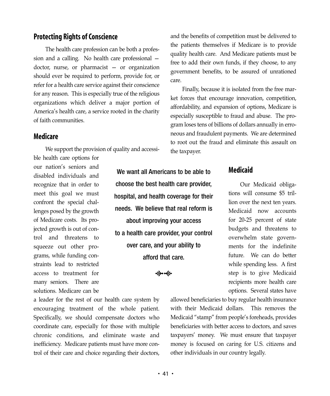### **Protecting Rights of Conscience**

The health care profession can be both a profession and a calling. No health care professional  $$ doctor, nurse, or pharmacist  $-$  or organization should ever be required to perform, provide for, or refer for a health care service against their conscience for any reason. This is especially true of the religious organizations which deliver a major portion of Americaís health care, a service rooted in the charity of faith communities.

#### **Medicare**

We support the provision of quality and accessi-

ble health care options for our nationís seniors and disabled individuals and recognize that in order to meet this goal we must confront the special challenges posed by the growth of Medicare costs. Its projected growth is out of control and threatens to squeeze out other programs, while funding constraints lead to restricted access to treatment for many seniors. There are solutions. Medicare can be

We want all Americans to be able to choose the best health care provider, hospital, and health coverage for their needs. We believe that real reform is about improving your access to a health care provider, your control over care, and your ability to afford that care.

 $\clubsuit$ 

and the benefits of competition must be delivered to the patients themselves if Medicare is to provide quality health care. And Medicare patients must be free to add their own funds, if they choose, to any government benefits, to be assured of unrationed care.

Finally, because it is isolated from the free market forces that encourage innovation, competition, affordability, and expansion of options, Medicare is especially susceptible to fraud and abuse. The program loses tens of billions of dollars annually in erroneous and fraudulent payments. We are determined to root out the fraud and eliminate this assault on the taxpayer.

### **Medicaid**

Our Medicaid obligations will consume \$5 trillion over the next ten years. Medicaid now accounts for 20-25 percent of state budgets and threatens to overwhelm state governments for the indefinite future. We can do better while spending less. A first step is to give Medicaid recipients more health care options. Several states have

a leader for the rest of our health care system by encouraging treatment of the whole patient. Specifically, we should compensate doctors who coordinate care, especially for those with multiple chronic conditions, and eliminate waste and inefficiency. Medicare patients must have more control of their care and choice regarding their doctors, allowed beneficiaries to buy regular health insurance with their Medicaid dollars. This removes the Medicaid "stamp" from people's foreheads, provides beneficiaries with better access to doctors, and saves taxpayersí money. We must ensure that taxpayer money is focused on caring for U.S. citizens and other individuals in our country legally.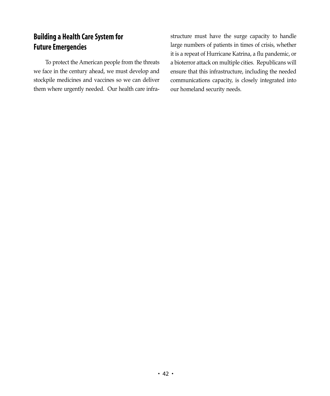# **Building a Health Care System for Future Emergencies**

To protect the American people from the threats we face in the century ahead, we must develop and stockpile medicines and vaccines so we can deliver them where urgently needed. Our health care infrastructure must have the surge capacity to handle large numbers of patients in times of crisis, whether it is a repeat of Hurricane Katrina, a flu pandemic, or a bioterror attack on multiple cities. Republicans will ensure that this infrastructure, including the needed communications capacity, is closely integrated into our homeland security needs.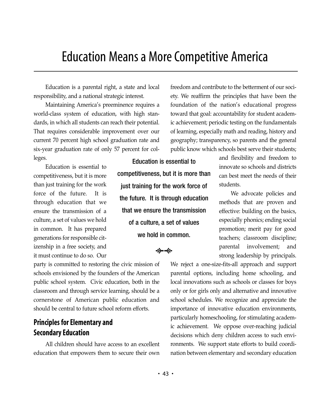# Education Means a More Competitive America

Education is a parental right, a state and local responsibility, and a national strategic interest.

Maintaining Americaís preeminence requires a world-class system of education, with high standards, in which all students can reach their potential. That requires considerable improvement over our current 70 percent high school graduation rate and six-year graduation rate of only 57 percent for colleges.

Education is essential to competitiveness, but it is more than just training for the work force of the future. It is through education that we ensure the transmission of a culture, a set of values we hold in common. It has prepared generations for responsible citizenship in a free society, and it must continue to do so. Our

Education is essential to competitiveness, but it is more than just training for the work force of the future. It is through education that we ensure the transmission of a culture, a set of values we hold in common.

 $\rightarrow$ 

party is committed to restoring the civic mission of schools envisioned by the founders of the American public school system. Civic education, both in the classroom and through service learning, should be a cornerstone of American public education and should be central to future school reform efforts.

# **Principles for Elementary and Secondary Education**

All children should have access to an excellent education that empowers them to secure their own freedom and contribute to the betterment of our society. We reaffirm the principles that have been the foundation of the nation's educational progress toward that goal: accountability for student academic achievement; periodic testing on the fundamentals of learning, especially math and reading, history and geography; transparency, so parents and the general public know which schools best serve their students;

> and flexibility and freedom to innovate so schools and districts can best meet the needs of their students.

> We advocate policies and methods that are proven and effective: building on the basics, especially phonics; ending social promotion; merit pay for good teachers; classroom discipline; parental involvement; and strong leadership by principals.

We reject a one-size-fits-all approach and support parental options, including home schooling, and local innovations such as schools or classes for boys only or for girls only and alternative and innovative school schedules. We recognize and appreciate the importance of innovative education environments, particularly homeschooling, for stimulating academic achievement. We oppose over-reaching judicial decisions which deny children access to such environments. We support state efforts to build coordination between elementary and secondary education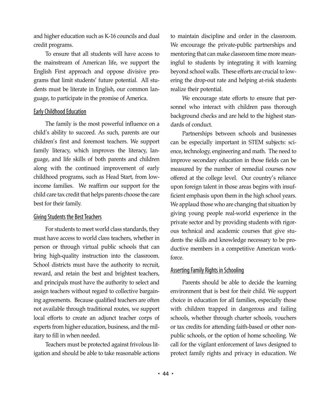and higher education such as K-16 councils and dual credit programs.

To ensure that all students will have access to the mainstream of American life, we support the English First approach and oppose divisive programs that limit students' future potential. All students must be literate in English, our common language, to participate in the promise of America.

#### Early Childhood Education

The family is the most powerful influence on a child's ability to succeed. As such, parents are our children's first and foremost teachers. We support family literacy, which improves the literacy, language, and life skills of both parents and children along with the continued improvement of early childhood programs, such as Head Start, from lowincome families. We reaffirm our support for the child care tax credit that helps parents choose the care best for their family.

#### Giving Students the Best Teachers

For students to meet world class standards, they must have access to world class teachers, whether in person or through virtual public schools that can bring high-quality instruction into the classroom. School districts must have the authority to recruit, reward, and retain the best and brightest teachers, and principals must have the authority to select and assign teachers without regard to collective bargaining agreements. Because qualified teachers are often not available through traditional routes, we support local efforts to create an adjunct teacher corps of experts from higher education, business, and the military to fill in when needed.

Teachers must be protected against frivolous litigation and should be able to take reasonable actions to maintain discipline and order in the classroom. We encourage the private-public partnerships and mentoring that can make classroom time more meaningful to students by integrating it with learning beyond school walls. These efforts are crucial to lowering the drop-out rate and helping at-risk students realize their potential.

We encourage state efforts to ensure that personnel who interact with children pass thorough background checks and are held to the highest standards of conduct.

Partnerships between schools and businesses can be especially important in STEM subjects: science, technology, engineering and math. The need to improve secondary education in those fields can be measured by the number of remedial courses now offered at the college level. Our countryís reliance upon foreign talent in those areas begins with insufficient emphasis upon them in the high school years. We applaud those who are changing that situation by giving young people real-world experience in the private sector and by providing students with rigorous technical and academic courses that give students the skills and knowledge necessary to be productive members in a competitive American workforce.

#### Asserting Family Rights in Schooling

Parents should be able to decide the learning environment that is best for their child. We support choice in education for all families, especially those with children trapped in dangerous and failing schools, whether through charter schools, vouchers or tax credits for attending faith-based or other nonpublic schools, or the option of home schooling. We call for the vigilant enforcement of laws designed to protect family rights and privacy in education. We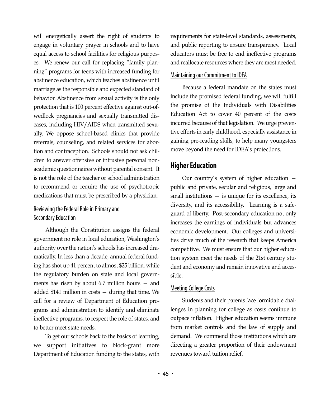will energetically assert the right of students to engage in voluntary prayer in schools and to have equal access to school facilities for religious purposes. We renew our call for replacing "family planning" programs for teens with increased funding for abstinence education, which teaches abstinence until marriage as the responsible and expected standard of behavior. Abstinence from sexual activity is the only protection that is 100 percent effective against out-ofwedlock pregnancies and sexually transmitted diseases, including HIV/AIDS when transmitted sexually. We oppose school-based clinics that provide referrals, counseling, and related services for abortion and contraception. Schools should not ask children to answer offensive or intrusive personal nonacademic questionnaires without parental consent. It is not the role of the teacher or school administration to recommend or require the use of psychotropic medications that must be prescribed by a physician.

### Reviewing the Federal Role in Primary and Secondary Education

Although the Constitution assigns the federal government no role in local education, Washington's authority over the nation's schools has increased dramatically. In less than a decade, annual federal funding has shot up 41 percent to almost \$25 billion, while the regulatory burden on state and local governments has risen by about  $6.7$  million hours  $-$  and added  $$141$  million in costs  $-$  during that time. We call for a review of Department of Education programs and administration to identify and eliminate ineffective programs, to respect the role of states, and to better meet state needs.

To get our schools back to the basics of learning, we support initiatives to block-grant more Department of Education funding to the states, with

requirements for state-level standards, assessments, and public reporting to ensure transparency. Local educators must be free to end ineffective programs and reallocate resources where they are most needed.

#### Maintaining our Commitment to IDEA

Because a federal mandate on the states must include the promised federal funding, we will fulfill the promise of the Individuals with Disabilities Education Act to cover 40 percent of the costs incurred because of that legislation. We urge preventive efforts in early childhood, especially assistance in gaining pre-reading skills, to help many youngsters move beyond the need for IDEA's protections.

# **Higher Education**

Our country's system of higher education  $$ public and private, secular and religious, large and small institutions  $-$  is unique for its excellence, its diversity, and its accessibility. Learning is a safeguard of liberty. Post-secondary education not only increases the earnings of individuals but advances economic development. Our colleges and universities drive much of the research that keeps America competitive. We must ensure that our higher education system meet the needs of the 21st century student and economy and remain innovative and accessible.

#### Meeting College Costs

Students and their parents face formidable challenges in planning for college as costs continue to outpace inflation. Higher education seems immune from market controls and the law of supply and demand. We commend those institutions which are directing a greater proportion of their endowment revenues toward tuition relief.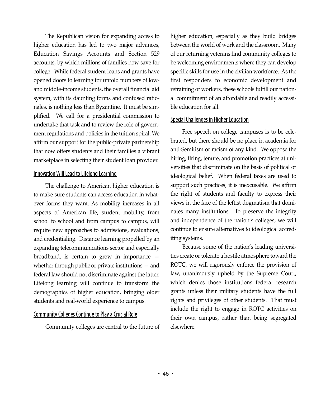The Republican vision for expanding access to higher education has led to two major advances, Education Savings Accounts and Section 529 accounts, by which millions of families now save for college. While federal student loans and grants have opened doors to learning for untold numbers of lowand middle-income students, the overall financial aid system, with its daunting forms and confused rationales, is nothing less than Byzantine. It must be simplified. We call for a presidential commission to undertake that task and to review the role of government regulations and policies in the tuition spiral. We affirm our support for the public-private partnership that now offers students and their families a vibrant marketplace in selecting their student loan provider.

#### Innovation Will Lead to Lifelong Learning

The challenge to American higher education is to make sure students can access education in whatever forms they want. As mobility increases in all aspects of American life, student mobility, from school to school and from campus to campus, will require new approaches to admissions, evaluations, and credentialing. Distance learning propelled by an expanding telecommunications sector and especially broadband, is certain to grow in importance  $$ whether through public or private institutions  $-$  and federal law should not discriminate against the latter. Lifelong learning will continue to transform the demographics of higher education, bringing older students and real-world experience to campus.

#### Community Colleges Continue to Play a Crucial Role

Community colleges are central to the future of

higher education, especially as they build bridges between the world of work and the classroom. Many of our returning veterans find community colleges to be welcoming environments where they can develop specific skills for use in the civilian workforce. As the first responders to economic development and retraining of workers, these schools fulfill our national commitment of an affordable and readily accessible education for all.

#### Special Challenges in Higher Education

Free speech on college campuses is to be celebrated, but there should be no place in academia for anti-Semitism or racism of any kind. We oppose the hiring, firing, tenure, and promotion practices at universities that discriminate on the basis of political or ideological belief. When federal taxes are used to support such practices, it is inexcusable. We affirm the right of students and faculty to express their views in the face of the leftist dogmatism that dominates many institutions. To preserve the integrity and independence of the nation's colleges, we will continue to ensure alternatives to ideological accrediting systems.

Because some of the nation's leading universities create or tolerate a hostile atmosphere toward the ROTC, we will rigorously enforce the provision of law, unanimously upheld by the Supreme Court, which denies those institutions federal research grants unless their military students have the full rights and privileges of other students. That must include the right to engage in ROTC activities on their own campus, rather than being segregated elsewhere.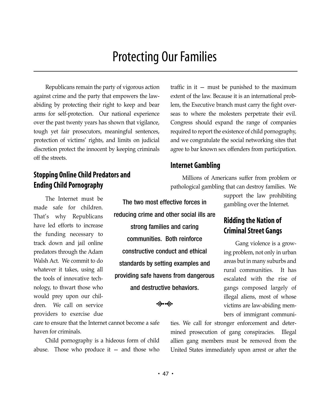# Protecting Our Families

Republicans remain the party of vigorous action against crime and the party that empowers the lawabiding by protecting their right to keep and bear arms for self-protection. Our national experience over the past twenty years has shown that vigilance, tough yet fair prosecutors, meaningful sentences, protection of victims' rights, and limits on judicial discretion protect the innocent by keeping criminals off the streets.

# **Stopping Online Child Predators and Ending Child Pornography**

The Internet must be made safe for children. That's why Republicans have led efforts to increase the funding necessary to track down and jail online predators through the Adam Walsh Act. We commit to do whatever it takes, using all the tools of innovative technology, to thwart those who would prey upon our children. We call on service providers to exercise due

The two most effective forces in reducing crime and other social ills are strong families and caring communities. Both reinforce constructive conduct and ethical standards by setting examples and providing safe havens from dangerous and destructive behaviors.

 $\rightarrowtail$ 

traffic in it  $-$  must be punished to the maximum extent of the law. Because it is an international problem, the Executive branch must carry the fight overseas to where the molesters perpetrate their evil. Congress should expand the range of companies required to report the existence of child pornography, and we congratulate the social networking sites that agree to bar known sex offenders from participation.

### **Internet Gambling**

Millions of Americans suffer from problem or pathological gambling that can destroy families. We

> support the law prohibiting gambling over the Internet.

# **Ridding the Nation of Criminal Street Gangs**

Gang violence is a growing problem, not only in urban areas but in many suburbs and rural communities. It has escalated with the rise of gangs composed largely of illegal aliens, most of whose victims are law-abiding members of immigrant communi-

care to ensure that the Internet cannot become a safe haven for criminals.

Child pornography is a hideous form of child abuse. Those who produce it  $-$  and those who ties. We call for stronger enforcement and determined prosecution of gang conspiracies. Illegal allien gang members must be removed from the United States immediately upon arrest or after the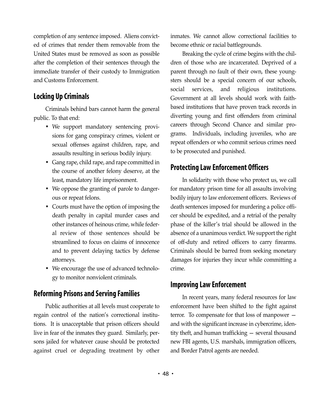completion of any sentence imposed. Aliens convicted of crimes that render them removable from the United States must be removed as soon as possible after the completion of their sentences through the immediate transfer of their custody to Immigration and Customs Enforcement.

# **Locking Up Criminals**

Criminals behind bars cannot harm the general public. To that end:

- We support mandatory sentencing provisions for gang conspiracy crimes, violent or sexual offenses against children, rape, and assaults resulting in serious bodily injury.
- ï Gang rape, child rape, and rape committed in the course of another felony deserve, at the least, mandatory life imprisonment.
- ï We oppose the granting of parole to dangerous or repeat felons.
- Courts must have the option of imposing the death penalty in capital murder cases and other instances of heinous crime, while federal review of those sentences should be streamlined to focus on claims of innocence and to prevent delaying tactics by defense attorneys.
- We encourage the use of advanced technology to monitor nonviolent criminals.

# **Reforming Prisons and Serving Families**

Public authorities at all levels must cooperate to regain control of the nation's correctional institutions. It is unacceptable that prison officers should live in fear of the inmates they guard. Similarly, persons jailed for whatever cause should be protected against cruel or degrading treatment by other inmates. We cannot allow correctional facilities to become ethnic or racial battlegrounds.

Breaking the cycle of crime begins with the children of those who are incarcerated. Deprived of a parent through no fault of their own, these youngsters should be a special concern of our schools, social services, and religious institutions. Government at all levels should work with faithbased institutions that have proven track records in diverting young and first offenders from criminal careers through Second Chance and similar programs. Individuals, including juveniles, who are repeat offenders or who commit serious crimes need to be prosecuted and punished.

# **Protecting Law Enforcement Officers**

In solidarity with those who protect us, we call for mandatory prison time for all assaults involving bodily injury to law enforcement officers. Reviews of death sentences imposed for murdering a police officer should be expedited, and a retrial of the penalty phase of the killer's trial should be allowed in the absence of a unanimous verdict. We support the right of off-duty and retired officers to carry firearms. Criminals should be barred from seeking monetary damages for injuries they incur while committing a crime.

#### **Improving Law Enforcement**

In recent years, many federal resources for law enforcement have been shifted to the fight against terror. To compensate for that loss of manpower  $-\frac{1}{2}$ and with the significant increase in cybercrime, identity theft, and human trafficking  $-$  several thousand new FBI agents, U.S. marshals, immigration officers, and Border Patrol agents are needed.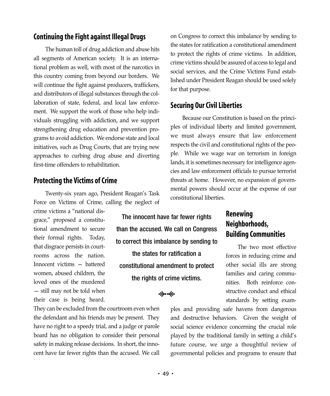# **Continuing the Fight against Illegal Drugs**

The human toll of drug addiction and abuse hits all segments of American society. It is an international problem as well, with most of the narcotics in this country coming from beyond our borders. We will continue the fight against producers, traffickers, and distributors of illegal substances through the collaboration of state, federal, and local law enforcement. We support the work of those who help individuals struggling with addiction, and we support strengthening drug education and prevention programs to avoid addiction. We endorse state and local initiatives, such as Drug Courts, that are trying new approaches to curbing drug abuse and diverting first-time offenders to rehabilitation.

### **Protecting the Victims of Crime**

Twenty-six years ago, President Reagan's Task Force on Victims of Crime, calling the neglect of

crime victims a "national disgrace," proposed a constitutional amendment to secure their formal rights. Today, that disgrace persists in courtrooms across the nation. Innocent victims - battered women, abused children, the loved ones of the murdered  $-$  still may not be told when their case is being heard.

They can be excluded from the courtroom even when the defendant and his friends may be present. They have no right to a speedy trial, and a judge or parole board has no obligation to consider their personal safety in making release decisions. In short, the innocent have far fewer rights than the accused. We call

on Congress to correct this imbalance by sending to the states for ratification a constitutional amendment to protect the rights of crime victims. In addition, crime victims should be assured of access to legal and social services, and the Crime Victims Fund established under President Reagan should be used solely for that purpose.

#### **Securing Our Civil Liberties**

Because our Constitution is based on the principles of individual liberty and limited government, we must always ensure that law enforcement respects the civil and constitutional rights of the people. While we wage war on terrorism in foreign lands, it is sometimes necessary for intelligence agencies and law enforcement officials to pursue terrorist threats at home. However, no expansion of governmental powers should occur at the expense of our constitutional liberties.

The innocent have far fewer rights than the accused. We call on Congress to correct this imbalance by sending to the states for ratification a constitutional amendment to protect the rights of crime victims.

 $\rightarrow$ 

# **Renewing Neighborhoods, Building Communities**

The two most effective forces in reducing crime and other social ills are strong families and caring communities. Both reinforce constructive conduct and ethical standards by setting exam-

ples and providing safe havens from dangerous and destructive behaviors. Given the weight of social science evidence concerning the crucial role played by the traditional family in setting a child's future course, we urge a thoughtful review of governmental policies and programs to ensure that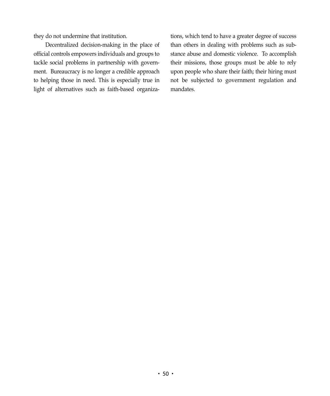they do not undermine that institution.

Decentralized decision-making in the place of official controls empowers individuals and groups to tackle social problems in partnership with government. Bureaucracy is no longer a credible approach to helping those in need. This is especially true in light of alternatives such as faith-based organizations, which tend to have a greater degree of success than others in dealing with problems such as substance abuse and domestic violence. To accomplish their missions, those groups must be able to rely upon people who share their faith; their hiring must not be subjected to government regulation and mandates.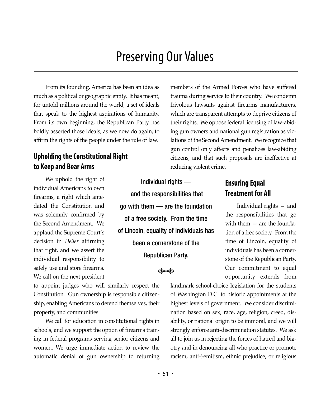# Preserving Our Values

From its founding, America has been an idea as much as a political or geographic entity. It has meant, for untold millions around the world, a set of ideals that speak to the highest aspirations of humanity. From its own beginning, the Republican Party has boldly asserted those ideals, as we now do again, to affirm the rights of the people under the rule of law.

# **Upholding the Constitutional Right to Keep and Bear Arms**

We uphold the right of individual Americans to own firearms, a right which antedated the Constitution and was solemnly confirmed by the Second Amendment. We applaud the Supreme Court's decision in *Heller* affirming that right, and we assert the individual responsibility to safely use and store firearms. We call on the next president

property, and communities.

Individual rights and the responsibilities that go with them — are the foundation of a free society. From the time of Lincoln, equality of individuals has been a cornerstone of the Republican Party.

 $\clubsuit$ 

# to appoint judges who will similarly respect the Constitution. Gun ownership is responsible citizenship, enabling Americans to defend themselves, their

We call for education in constitutional rights in schools, and we support the option of firearms training in federal programs serving senior citizens and women. We urge immediate action to review the automatic denial of gun ownership to returning

members of the Armed Forces who have suffered trauma during service to their country. We condemn frivolous lawsuits against firearms manufacturers, which are transparent attempts to deprive citizens of their rights. We oppose federal licensing of law-abiding gun owners and national gun registration as violations of the Second Amendment. We recognize that gun control only affects and penalizes law-abiding citizens, and that such proposals are ineffective at reducing violent crime.

# **Ensuring Equal Treatment for All**

Individual rights  $-$  and the responsibilities that go with them  $-$  are the foundation of a free society. From the time of Lincoln, equality of individuals has been a cornerstone of the Republican Party. Our commitment to equal opportunity extends from

landmark school-choice legislation for the students of Washington D.C. to historic appointments at the highest levels of government. We consider discrimination based on sex, race, age, religion, creed, disability, or national origin to be immoral, and we will strongly enforce anti-discrimination statutes. We ask all to join us in rejecting the forces of hatred and bigotry and in denouncing all who practice or promote racism, anti-Semitism, ethnic prejudice, or religious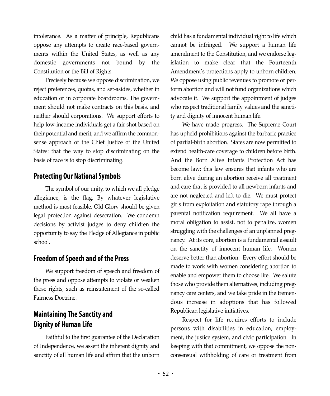intolerance. As a matter of principle, Republicans oppose any attempts to create race-based governments within the United States, as well as any domestic governments not bound by the Constitution or the Bill of Rights.

Precisely because we oppose discrimination, we reject preferences, quotas, and set-asides, whether in education or in corporate boardrooms. The government should not make contracts on this basis, and neither should corporations. We support efforts to help low-income individuals get a fair shot based on their potential and merit, and we affirm the commonsense approach of the Chief Justice of the United States: that the way to stop discriminating on the basis of race is to stop discriminating.

# **Protecting Our National Symbols**

The symbol of our unity, to which we all pledge allegiance, is the flag. By whatever legislative method is most feasible, Old Glory should be given legal protection against desecration. We condemn decisions by activist judges to deny children the opportunity to say the Pledge of Allegiance in public school.

# **Freedom of Speech and of the Press**

We support freedom of speech and freedom of the press and oppose attempts to violate or weaken those rights, such as reinstatement of the so-called Fairness Doctrine.

# **Maintaining The Sanctity and Dignity of Human Life**

Faithful to the first guarantee of the Declaration of Independence, we assert the inherent dignity and sanctity of all human life and affirm that the unborn child has a fundamental individual right to life which cannot be infringed. We support a human life amendment to the Constitution, and we endorse legislation to make clear that the Fourteenth Amendment's protections apply to unborn children. We oppose using public revenues to promote or perform abortion and will not fund organizations which advocate it. We support the appointment of judges who respect traditional family values and the sanctity and dignity of innocent human life.

We have made progress. The Supreme Court has upheld prohibitions against the barbaric practice of partial-birth abortion. States are now permitted to extend health-care coverage to children before birth. And the Born Alive Infants Protection Act has become law; this law ensures that infants who are born alive during an abortion receive all treatment and care that is provided to all newborn infants and are not neglected and left to die. We must protect girls from exploitation and statutory rape through a parental notification requirement. We all have a moral obligation to assist, not to penalize, women struggling with the challenges of an unplanned pregnancy. At its core, abortion is a fundamental assault on the sanctity of innocent human life. Women deserve better than abortion. Every effort should be made to work with women considering abortion to enable and empower them to choose life. We salute those who provide them alternatives, including pregnancy care centers, and we take pride in the tremendous increase in adoptions that has followed Republican legislative initiatives.

Respect for life requires efforts to include persons with disabilities in education, employment, the justice system, and civic participation. In keeping with that commitment, we oppose the nonconsensual withholding of care or treatment from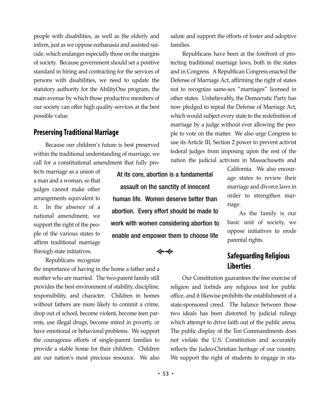people with disabilities, as well as the elderly and infirm, just as we oppose euthanasia and assisted suicide, which endanger especially those on the margins of society. Because government should set a positive standard in hiring and contracting for the services of persons with disabilities, we need to update the statutory authority for the AbilityOne program, the main avenue by which those productive members of our society can offer high quality services at the best possible value.

#### **Preserving Traditional Marriage**

Because our children's future is best preserved within the traditional understanding of marriage, we call for a constitutional amendment that fully pro-

tects marriage as a union of a man and a woman, so that judges cannot make other arrangements equivalent to it. In the absence of a national amendment, we support the right of the people of the various states to affirm traditional marriage through state initiatives.

Republicans recognize

the importance of having in the home a father and a mother who are married. The two-parent family still provides the best environment of stability, discipline, responsibility, and character. Children in homes without fathers are more likely to commit a crime, drop out of school, become violent, become teen parents, use illegal drugs, become mired in poverty, or have emotional or behavioral problems. We support the courageous efforts of single-parent families to provide a stable home for their children. Children are our nationís most precious resource. We also

salute and support the efforts of foster and adoptive families.

Republicans have been at the forefront of protecting traditional marriage laws, both in the states and in Congress. A Republican Congress enacted the Defense of Marriage Act, affirming the right of states not to recognize same-sex "marriages" licensed in other states. Unbelievably, the Democratic Party has now pledged to repeal the Defense of Marriage Act, which would subject every state to the redefinition of marriage by a judge without ever allowing the people to vote on the matter. We also urge Congress to use its Article III, Section 2 power to prevent activist federal judges from imposing upon the rest of the nation the judicial activism in Massachusetts and

> California. We also encourage states to review their marriage and divorce laws in order to strengthen marriage.

> As the family is our basic unit of society, we oppose initiatives to erode parental rights.

# **Safeguarding Religious Liberties**

Our Constitution guarantees the free exercise of religion and forbids any religious test for public office, and it likewise prohibits the establishment of a state-sponsored creed. The balance between those two ideals has been distorted by judicial rulings which attempt to drive faith out of the public arena. The public display of the Ten Commandments does not violate the U.S. Constitution and accurately reflects the Judeo-Christian heritage of our country. We support the right of students to engage in stu-

 $\clubsuit$ 

At its core, abortion is a fundamental assault on the sanctity of innocent human life. Women deserve better than

abortion. Every effort should be made to work with women considering abortion to enable and empower them to choose life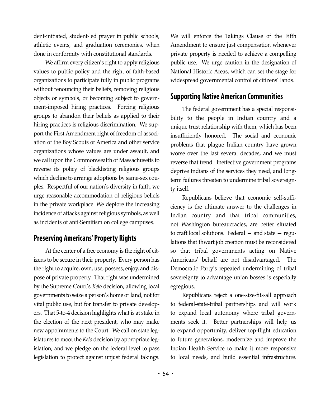dent-initiated, student-led prayer in public schools, athletic events, and graduation ceremonies, when done in conformity with constitutional standards.

We affirm every citizen's right to apply religious values to public policy and the right of faith-based organizations to participate fully in public programs without renouncing their beliefs, removing religious objects or symbols, or becoming subject to government-imposed hiring practices. Forcing religious groups to abandon their beliefs as applied to their hiring practices is religious discrimination. We support the First Amendment right of freedom of association of the Boy Scouts of America and other service organizations whose values are under assault, and we call upon the Commonwealth of Massachusetts to reverse its policy of blacklisting religious groups which decline to arrange adoptions by same-sex couples. Respectful of our nation's diversity in faith, we urge reasonable accommodation of religious beliefs in the private workplace. We deplore the increasing incidence of attacks against religious symbols, as well as incidents of anti-Semitism on college campuses.

# **Preserving Americans' Property Rights**

At the center of a free economy is the right of citizens to be secure in their property. Every person has the right to acquire, own, use, possess, enjoy, and dispose of private property. That right was undermined by the Supreme Court's *Kelo* decision, allowing local governments to seize a personís home or land, not for vital public use, but for transfer to private developers. That 5-to-4 decision highlights what is at stake in the election of the next president, who may make new appointments to the Court. We call on state legislatures to moot the *Kelo* decision by appropriate legislation, and we pledge on the federal level to pass legislation to protect against unjust federal takings.

We will enforce the Takings Clause of the Fifth Amendment to ensure just compensation whenever private property is needed to achieve a compelling public use. We urge caution in the designation of National Historic Areas, which can set the stage for widespread governmental control of citizens' lands.

# **Supporting Native American Communities**

The federal government has a special responsibility to the people in Indian country and a unique trust relationship with them, which has been insufficiently honored. The social and economic problems that plague Indian country have grown worse over the last several decades, and we must reverse that trend. Ineffective government programs deprive Indians of the services they need, and longterm failures threaten to undermine tribal sovereignty itself.

Republicans believe that economic self-sufficiency is the ultimate answer to the challenges in Indian country and that tribal communities, not Washington bureaucracies, are better situated to craft local solutions. Federal  $-$  and state  $-$  regulations that thwart job creation must be reconsidered so that tribal governments acting on Native Americansí behalf are not disadvantaged. The Democratic Party's repeated undermining of tribal sovereignty to advantage union bosses is especially egregious.

Republicans reject a one-size-fits-all approach to federal-state-tribal partnerships and will work to expand local autonomy where tribal governments seek it. Better partnerships will help us to expand opportunity, deliver top-flight education to future generations, modernize and improve the Indian Health Service to make it more responsive to local needs, and build essential infrastructure.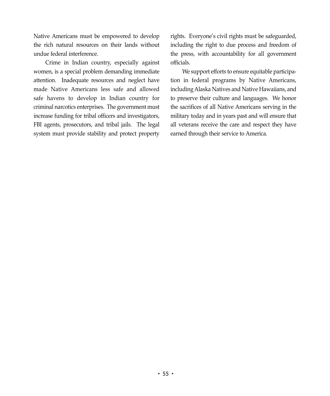Native Americans must be empowered to develop the rich natural resources on their lands without undue federal interference.

Crime in Indian country, especially against women, is a special problem demanding immediate attention. Inadequate resources and neglect have made Native Americans less safe and allowed safe havens to develop in Indian country for criminal narcotics enterprises. The government must increase funding for tribal officers and investigators, FBI agents, prosecutors, and tribal jails. The legal system must provide stability and protect property

rights. Everyone's civil rights must be safeguarded, including the right to due process and freedom of the press, with accountability for all government officials.

We support efforts to ensure equitable participation in federal programs by Native Americans, including Alaska Natives and Native Hawaiians, and to preserve their culture and languages. We honor the sacrifices of all Native Americans serving in the military today and in years past and will ensure that all veterans receive the care and respect they have earned through their service to America.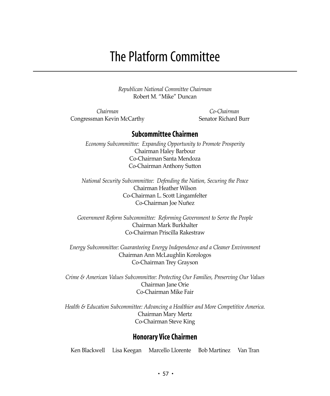# The Platform Committee

*Republican National Committee Chairman* Robert M. "Mike" Duncan

*Chairman Co-Chairman* Congressman Kevin McCarthy Senator Richard Burr

### **Subcommittee Chairmen**

*Economy Subcommittee: Expanding Opportunity to Promote Prosperity* Chairman Haley Barbour Co-Chairman Santa Mendoza Co-Chairman Anthony Sutton

*National Security Subcommittee: Defending the Nation, Securing the Peace* Chairman Heather Wilson Co-Chairman L. Scott Lingamfelter Co-Chairman Joe Nuñez

*Government Reform Subcommittee: Reforming Government to Serve the People* Chairman Mark Burkhalter Co-Chairman Priscilla Rakestraw

*Energy Subcommittee: Guaranteeing Energy Independence and a Cleaner Environment* Chairman Ann McLaughlin Korologos Co-Chairman Trey Grayson

*Crime & American Values Subcommittee: Protecting Our Families, Preserving Our Values* Chairman Jane Orie Co-Chairman Mike Fair

*Health & Education Subcommittee: Advancing a Healthier and More Competitive America.* Chairman Mary Mertz Co-Chairman Steve King

# **Honorary Vice Chairmen**

Ken Blackwell Lisa Keegan Marcello Llorente Bob Martinez Van Tran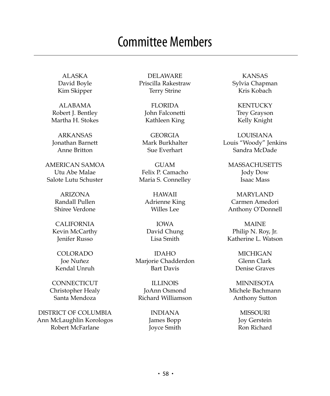# Committee Members

ALASKA David Boyle Kim Skipper

ALABAMA Robert J. Bentley Martha H. Stokes

ARKANSAS Jonathan Barnett Anne Britton

AMERICAN SAMOA Utu Abe Malae Salote Lutu Schuster

> ARIZONA Randall Pullen Shiree Verdone

CALIFORNIA Kevin McCarthy Jenifer Russo

COLORADO **Joe Nuñez** Kendal Unruh

CONNECTICUT Christopher Healy Santa Mendoza

DISTRICT OF COLUMBIA Ann McLaughlin Korologos Robert McFarlane

DELAWARE Priscilla Rakestraw Terry Strine

> FLORIDA John Falconetti Kathleen King

GEORGIA Mark Burkhalter Sue Everhart

GUAM Felix P. Camacho Maria S. Connelley

> HAWAII Adrienne King Willes Lee

IOWA David Chung Lisa Smith

IDAHO Marjorie Chadderdon Bart Davis

ILLINOIS JoAnn Osmond Richard Williamson

> INDIANA James Bopp Joyce Smith

KANSAS Sylvia Chapman Kris Kobach

> **KENTUCKY** Trey Grayson Kelly Knight

LOUISIANA Louis "Woody" Jenkins Sandra McDade

**MASSACHUSETTS** Jody Dow Isaac Mass

MARYLAND Carmen Amedori Anthony O'Donnell

MAINE Philip N. Roy, Jr. Katherine L. Watson

> MICHIGAN Glenn Clark Denise Graves

**MINNESOTA** Michele Bachmann Anthony Sutton

> MISSOURI Joy Gerstein Ron Richard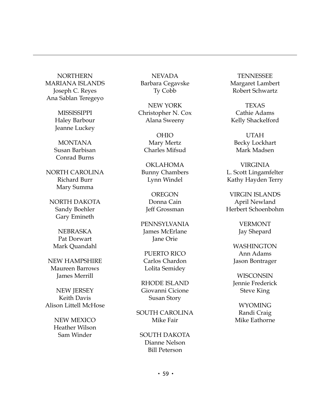NORTHERN MARIANA ISLANDS Joseph C. Reyes Ana Sablan Teregeyo

> **MISSISSIPPI** Haley Barbour Jeanne Luckey

MONTANA Susan Barbisan Conrad Burns

NORTH CAROLINA Richard Burr Mary Summa

NORTH DAKOTA Sandy Boehler Gary Emineth

NEBRASKA Pat Dorwart Mark Quandahl

NEW HAMPSHIRE Maureen Barrows James Merrill

NEW JERSEY Keith Davis Alison Littell McHose

> NEW MEXICO Heather Wilson Sam Winder

NEVADA Barbara Cegavske Ty Cobb

NEW YORK Christopher N. Cox Alana Sweeny

OHIO Mary Mertz Charles Mifsud

OKLAHOMA Bunny Chambers Lynn Windel

OREGON Donna Cain Jeff Grossman

PENNSYLVANIA James McErlane Jane Orie

PUERTO RICO Carlos Chardon Lolita Semidey

RHODE ISLAND Giovanni Cicione Susan Story

SOUTH CAROLINA Mike Fair

SOUTH DAKOTA Dianne Nelson Bill Peterson

**TENNESSEE** Margaret Lambert Robert Schwartz

**TEXAS** Cathie Adams Kelly Shackelford

UTAH Becky Lockhart Mark Madsen

VIRGINIA L. Scott Lingamfelter Kathy Hayden Terry

VIRGIN ISLANDS April Newland Herbert Schoenbohm

> VERMONT Jay Shepard

WASHINGTON Ann Adams Jason Bontrager

WISCONSIN Jennie Frederick Steve King

WYOMING Randi Craig Mike Eathorne